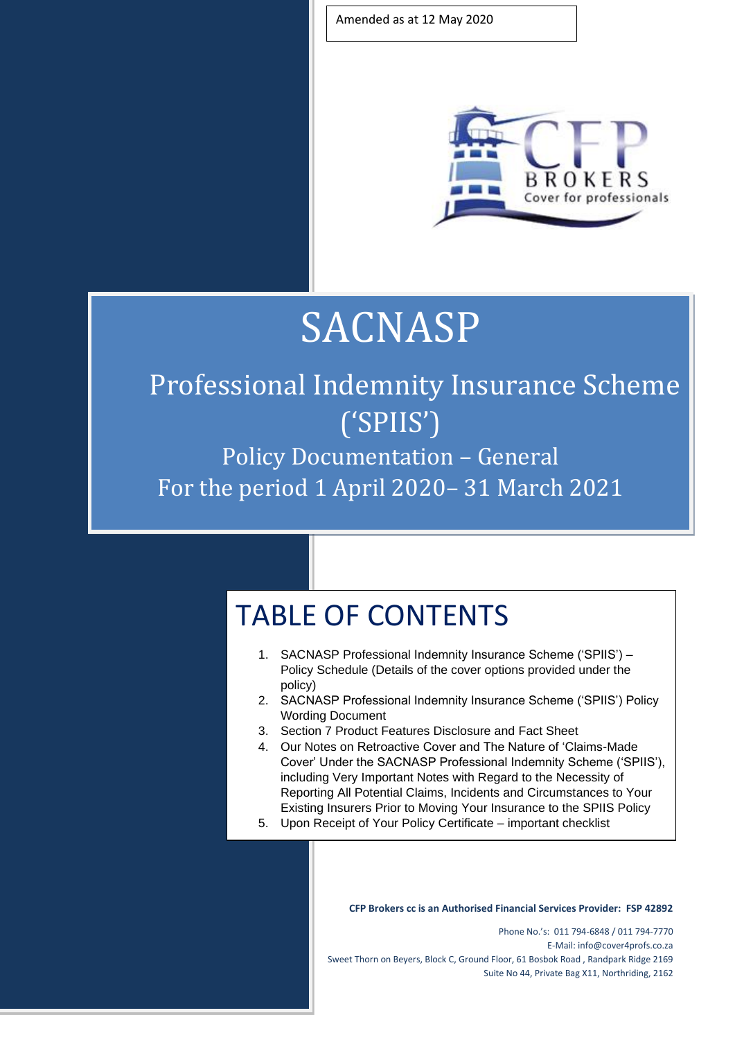Amended as at 12 May 2020



## **SACNASP**

## Professional Indemnity Insurance Scheme ('SPIIS')

Policy Documentation – General For the period 1 April 2020– 31 March 2021

## TABLE OF CONTENTS

- 1. SACNASP Professional Indemnity Insurance Scheme ('SPIIS') Policy Schedule (Details of the cover options provided under the policy)
- 2. SACNASP Professional Indemnity Insurance Scheme ('SPIIS') Policy Wording Document
- 3. Section 7 Product Features Disclosure and Fact Sheet
- 4. Our Notes on Retroactive Cover and The Nature of 'Claims-Made Cover' Under the SACNASP Professional Indemnity Scheme ('SPIIS'), including Very Important Notes with Regard to the Necessity of Reporting All Potential Claims, Incidents and Circumstances to Your Existing Insurers Prior to Moving Your Insurance to the SPIIS Policy
- 5. Upon Receipt of Your Policy Certificate important checklist

**CFP Brokers cc is an Authorised Financial Services Provider: FSP 42892**

Phone No.'s: 011 794-6848 / 011 794-7770 E-Mail: info@cover4profs.co.za Sweet Thorn on Beyers, Block C, Ground Floor, 61 Bosbok Road , Randpark Ridge 2169 Suite No 44, Private Bag X11, Northriding, 2162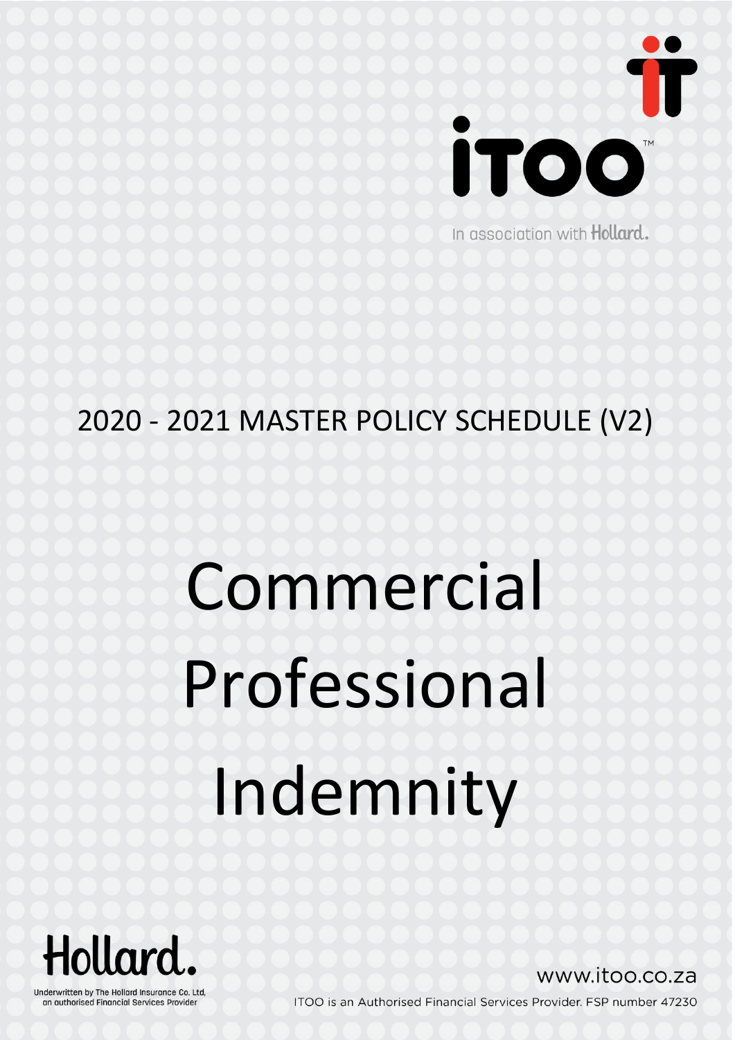

In association with Hollard.

## 2020 - 2021 MASTER POLICY SCHEDULE (V2)

# Commercial Professional Indemnity



Underwritten by The Hollard Insurance Co. Ltd, an authorised Financial Services Provider

www.itoo.co.za

ITOO is an Authorised Financial Services Provider. FSP number 47230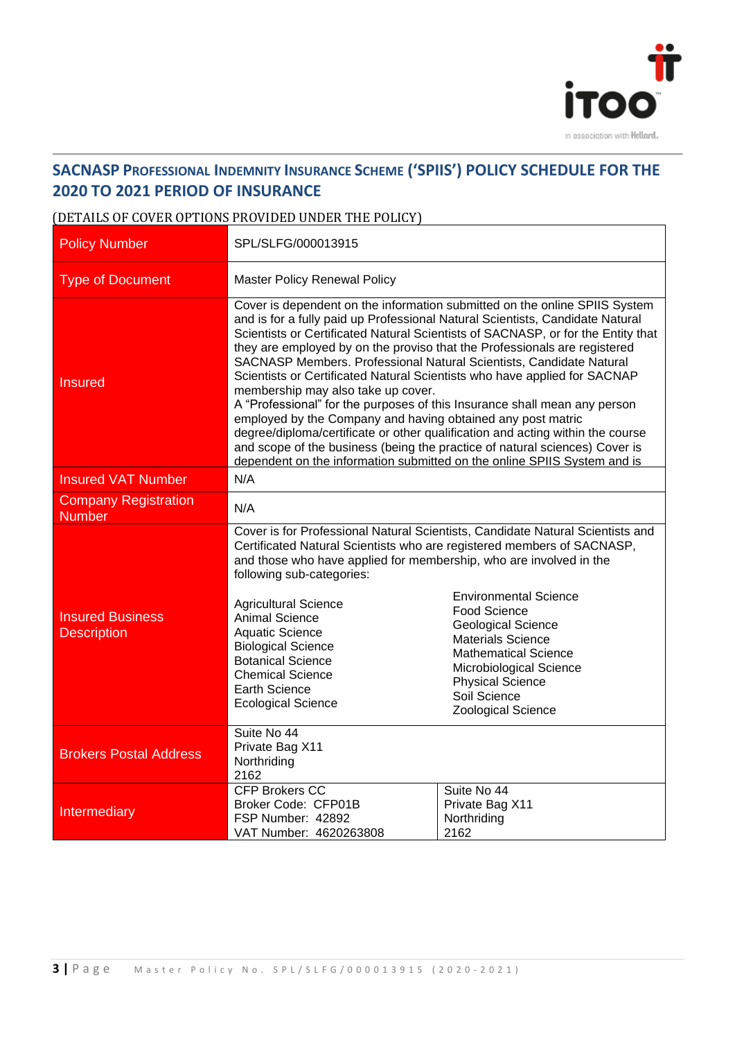

#### **SACNASP PROFESSIONAL INDEMNITY INSURANCE SCHEME ('SPIIS') POLICY SCHEDULE FOR THE 2020 TO 2021 PERIOD OF INSURANCE**

#### (DETAILS OF COVER OPTIONS PROVIDED UNDER THE POLICY)

| <b>Policy Number</b>                          | SPL/SLFG/000013915                                                                                                                                                                                                                                                                                                                                                                                                                                                                                                                                                                                                                                                                                                                                                                                                                                                                                              |                                                                                                                                                                                                                                                                                                                    |  |
|-----------------------------------------------|-----------------------------------------------------------------------------------------------------------------------------------------------------------------------------------------------------------------------------------------------------------------------------------------------------------------------------------------------------------------------------------------------------------------------------------------------------------------------------------------------------------------------------------------------------------------------------------------------------------------------------------------------------------------------------------------------------------------------------------------------------------------------------------------------------------------------------------------------------------------------------------------------------------------|--------------------------------------------------------------------------------------------------------------------------------------------------------------------------------------------------------------------------------------------------------------------------------------------------------------------|--|
| <b>Type of Document</b>                       | <b>Master Policy Renewal Policy</b>                                                                                                                                                                                                                                                                                                                                                                                                                                                                                                                                                                                                                                                                                                                                                                                                                                                                             |                                                                                                                                                                                                                                                                                                                    |  |
| <b>Insured</b>                                | Cover is dependent on the information submitted on the online SPIIS System<br>and is for a fully paid up Professional Natural Scientists, Candidate Natural<br>Scientists or Certificated Natural Scientists of SACNASP, or for the Entity that<br>they are employed by on the proviso that the Professionals are registered<br>SACNASP Members. Professional Natural Scientists, Candidate Natural<br>Scientists or Certificated Natural Scientists who have applied for SACNAP<br>membership may also take up cover.<br>A "Professional" for the purposes of this Insurance shall mean any person<br>employed by the Company and having obtained any post matric<br>degree/diploma/certificate or other qualification and acting within the course<br>and scope of the business (being the practice of natural sciences) Cover is<br>dependent on the information submitted on the online SPIIS System and is |                                                                                                                                                                                                                                                                                                                    |  |
| <b>Insured VAT Number</b>                     | N/A                                                                                                                                                                                                                                                                                                                                                                                                                                                                                                                                                                                                                                                                                                                                                                                                                                                                                                             |                                                                                                                                                                                                                                                                                                                    |  |
| <b>Company Registration</b><br><b>Number</b>  | N/A                                                                                                                                                                                                                                                                                                                                                                                                                                                                                                                                                                                                                                                                                                                                                                                                                                                                                                             |                                                                                                                                                                                                                                                                                                                    |  |
| <b>Insured Business</b><br><b>Description</b> | Certificated Natural Scientists who are registered members of SACNASP,<br>and those who have applied for membership, who are involved in the<br>following sub-categories:<br><b>Agricultural Science</b><br><b>Animal Science</b><br><b>Aquatic Science</b><br><b>Biological Science</b><br><b>Botanical Science</b><br><b>Chemical Science</b><br><b>Earth Science</b><br><b>Ecological Science</b>                                                                                                                                                                                                                                                                                                                                                                                                                                                                                                            | Cover is for Professional Natural Scientists, Candidate Natural Scientists and<br><b>Environmental Science</b><br>Food Science<br><b>Geological Science</b><br><b>Materials Science</b><br><b>Mathematical Science</b><br>Microbiological Science<br><b>Physical Science</b><br>Soil Science<br>Zoological Science |  |
| <b>Brokers Postal Address</b>                 | Suite No 44<br>Private Bag X11<br>Northriding<br>2162                                                                                                                                                                                                                                                                                                                                                                                                                                                                                                                                                                                                                                                                                                                                                                                                                                                           |                                                                                                                                                                                                                                                                                                                    |  |
| Intermediary                                  | <b>CFP Brokers CC</b><br>Broker Code: CFP01B<br>FSP Number: 42892<br>VAT Number: 4620263808                                                                                                                                                                                                                                                                                                                                                                                                                                                                                                                                                                                                                                                                                                                                                                                                                     | Suite No 44<br>Private Bag X11<br>Northriding<br>2162                                                                                                                                                                                                                                                              |  |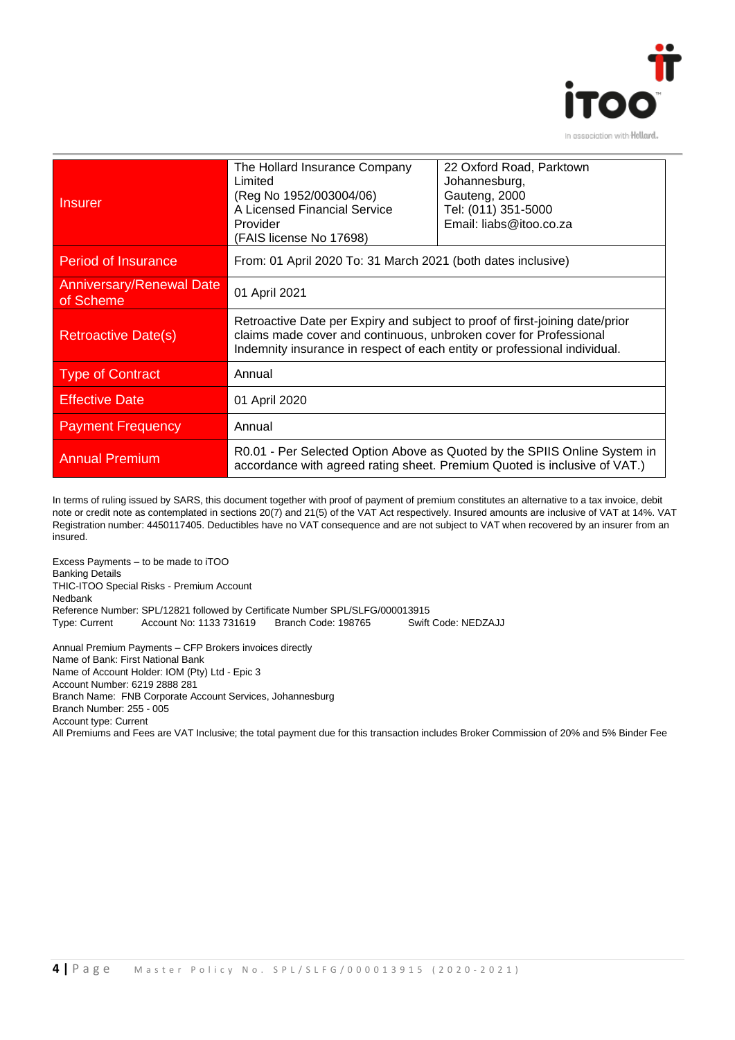

| <b>Insurer</b>                               | The Hollard Insurance Company<br>Limited<br>(Reg No 1952/003004/06)<br>A Licensed Financial Service<br>Provider<br>(FAIS license No 17698)                                                                                     | 22 Oxford Road, Parktown<br>Johannesburg,<br>Gauteng, 2000<br>Tel: (011) 351-5000<br>Email: liabs@itoo.co.za |  |
|----------------------------------------------|--------------------------------------------------------------------------------------------------------------------------------------------------------------------------------------------------------------------------------|--------------------------------------------------------------------------------------------------------------|--|
| <b>Period of Insurance</b>                   | From: 01 April 2020 To: 31 March 2021 (both dates inclusive)                                                                                                                                                                   |                                                                                                              |  |
| <b>Anniversary/Renewal Date</b><br>of Scheme | 01 April 2021                                                                                                                                                                                                                  |                                                                                                              |  |
| <b>Retroactive Date(s)</b>                   | Retroactive Date per Expiry and subject to proof of first-joining date/prior<br>claims made cover and continuous, unbroken cover for Professional<br>Indemnity insurance in respect of each entity or professional individual. |                                                                                                              |  |
| <b>Type of Contract</b>                      | Annual                                                                                                                                                                                                                         |                                                                                                              |  |
| <b>Effective Date</b>                        | 01 April 2020                                                                                                                                                                                                                  |                                                                                                              |  |
| <b>Payment Frequency</b>                     | Annual                                                                                                                                                                                                                         |                                                                                                              |  |
| <b>Annual Premium</b>                        | R0.01 - Per Selected Option Above as Quoted by the SPIIS Online System in<br>accordance with agreed rating sheet. Premium Quoted is inclusive of VAT.)                                                                         |                                                                                                              |  |

In terms of ruling issued by SARS, this document together with proof of payment of premium constitutes an alternative to a tax invoice, debit note or credit note as contemplated in sections 20(7) and 21(5) of the VAT Act respectively. Insured amounts are inclusive of VAT at 14%. VAT Registration number: 4450117405. Deductibles have no VAT consequence and are not subject to VAT when recovered by an insurer from an insured.

Excess Payments – to be made to iTOO Banking Details THIC-ITOO Special Risks - Premium Account Nedbank Reference Number: SPL/12821 followed by Certificate Number SPL/SLFG/000013915 Type: Current Account No: 1133 731619 Branch Code: 198765 Swift Code: NEDZAJJ

Annual Premium Payments – CFP Brokers invoices directly Name of Bank: First National Bank Name of Account Holder: IOM (Pty) Ltd - Epic 3 Account Number: 6219 2888 281 Branch Name: FNB Corporate Account Services, Johannesburg Branch Number: 255 - 005 Account type: Current All Premiums and Fees are VAT Inclusive; the total payment due for this transaction includes Broker Commission of 20% and 5% Binder Fee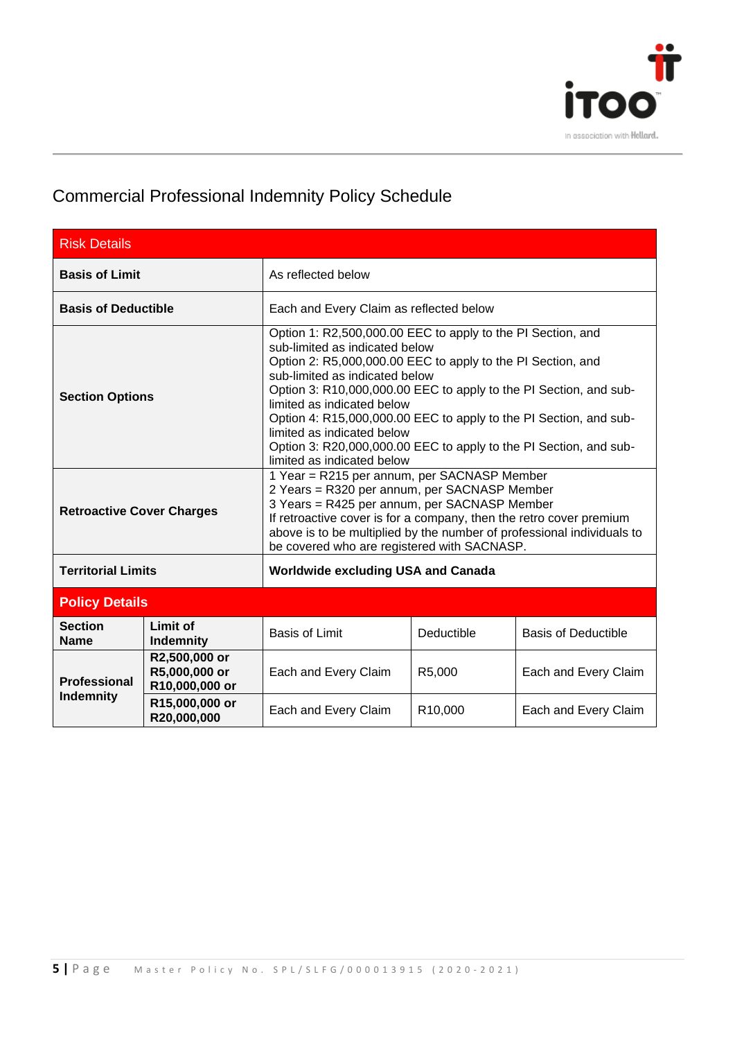

### Commercial Professional Indemnity Policy Schedule

| <b>Risk Details</b>                                        |                                                  |                                                                                                                                                                                                                                                                                              |                                                                                                                                                                                                                                                                                                                                                                                          |                            |
|------------------------------------------------------------|--------------------------------------------------|----------------------------------------------------------------------------------------------------------------------------------------------------------------------------------------------------------------------------------------------------------------------------------------------|------------------------------------------------------------------------------------------------------------------------------------------------------------------------------------------------------------------------------------------------------------------------------------------------------------------------------------------------------------------------------------------|----------------------------|
| <b>Basis of Limit</b>                                      |                                                  | As reflected below                                                                                                                                                                                                                                                                           |                                                                                                                                                                                                                                                                                                                                                                                          |                            |
| <b>Basis of Deductible</b>                                 |                                                  | Each and Every Claim as reflected below                                                                                                                                                                                                                                                      |                                                                                                                                                                                                                                                                                                                                                                                          |                            |
| <b>Section Options</b><br><b>Retroactive Cover Charges</b> |                                                  | sub-limited as indicated below<br>sub-limited as indicated below<br>limited as indicated below<br>limited as indicated below<br>limited as indicated below                                                                                                                                   | Option 1: R2,500,000.00 EEC to apply to the PI Section, and<br>Option 2: R5,000,000.00 EEC to apply to the PI Section, and<br>Option 3: R10,000,000.00 EEC to apply to the PI Section, and sub-<br>Option 4: R15,000,000.00 EEC to apply to the PI Section, and sub-<br>Option 3: R20,000,000.00 EEC to apply to the PI Section, and sub-<br>1 Year = R215 per annum, per SACNASP Member |                            |
|                                                            |                                                  | 2 Years = R320 per annum, per SACNASP Member<br>3 Years = R425 per annum, per SACNASP Member<br>If retroactive cover is for a company, then the retro cover premium<br>above is to be multiplied by the number of professional individuals to<br>be covered who are registered with SACNASP. |                                                                                                                                                                                                                                                                                                                                                                                          |                            |
| <b>Territorial Limits</b>                                  | <b>Worldwide excluding USA and Canada</b>        |                                                                                                                                                                                                                                                                                              |                                                                                                                                                                                                                                                                                                                                                                                          |                            |
| <b>Policy Details</b>                                      |                                                  |                                                                                                                                                                                                                                                                                              |                                                                                                                                                                                                                                                                                                                                                                                          |                            |
| <b>Section</b><br><b>Name</b>                              | <b>Limit of</b><br><b>Indemnity</b>              | <b>Basis of Limit</b>                                                                                                                                                                                                                                                                        | Deductible                                                                                                                                                                                                                                                                                                                                                                               | <b>Basis of Deductible</b> |
| <b>Professional</b><br><b>Indemnity</b>                    | R2,500,000 or<br>R5,000,000 or<br>R10,000,000 or | Each and Every Claim                                                                                                                                                                                                                                                                         | R5,000                                                                                                                                                                                                                                                                                                                                                                                   | Each and Every Claim       |
|                                                            | R15,000,000 or<br>R20,000,000                    | Each and Every Claim                                                                                                                                                                                                                                                                         | R10,000                                                                                                                                                                                                                                                                                                                                                                                  | Each and Every Claim       |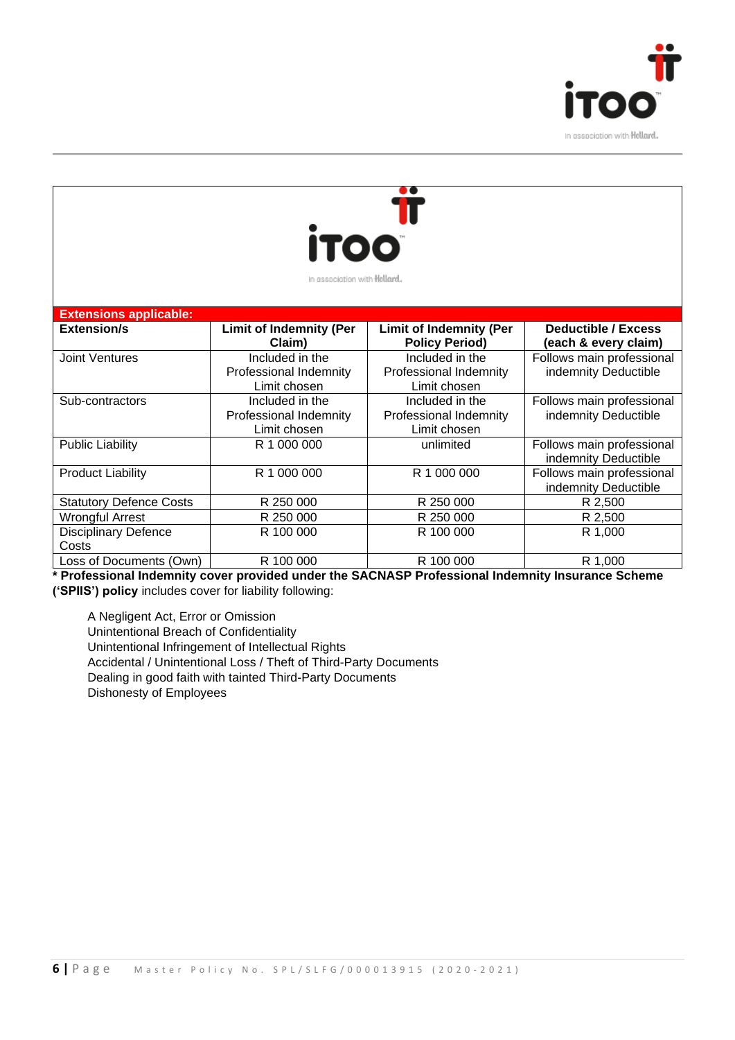



| In association with Hollard. |
|------------------------------|
|                              |
|                              |

| <b>Extensions applicable:</b>  |                                |                                |                            |
|--------------------------------|--------------------------------|--------------------------------|----------------------------|
| <b>Extension/s</b>             | <b>Limit of Indemnity (Per</b> | <b>Limit of Indemnity (Per</b> | <b>Deductible / Excess</b> |
|                                | Claim)                         | <b>Policy Period)</b>          | (each & every claim)       |
| <b>Joint Ventures</b>          | Included in the                | Included in the                | Follows main professional  |
|                                | Professional Indemnity         | Professional Indemnity         | indemnity Deductible       |
|                                | Limit chosen                   | Limit chosen                   |                            |
| Sub-contractors                | Included in the                | Included in the                | Follows main professional  |
|                                | Professional Indemnity         | Professional Indemnity         | indemnity Deductible       |
|                                | Limit chosen                   | Limit chosen                   |                            |
| <b>Public Liability</b>        | R 1 000 000                    | unlimited                      | Follows main professional  |
|                                |                                |                                | indemnity Deductible       |
| <b>Product Liability</b>       | R 1 000 000                    | R 1 000 000                    | Follows main professional  |
|                                |                                |                                | indemnity Deductible       |
| <b>Statutory Defence Costs</b> | R 250 000                      | R 250 000                      | R 2,500                    |
| <b>Wrongful Arrest</b>         | R 250 000                      | R 250 000                      | R 2,500                    |
| <b>Disciplinary Defence</b>    | R 100 000                      | R 100 000                      | R 1,000                    |
| Costs                          |                                |                                |                            |
| Loss of Documents (Own)        | R 100 000                      | R 100 000                      | R 1,000                    |

**\* Professional Indemnity cover provided under the SACNASP Professional Indemnity Insurance Scheme ('SPIIS') policy** includes cover for liability following:

A Negligent Act, Error or Omission Unintentional Breach of Confidentiality Unintentional Infringement of Intellectual Rights Accidental / Unintentional Loss / Theft of Third-Party Documents Dealing in good faith with tainted Third-Party Documents Dishonesty of Employees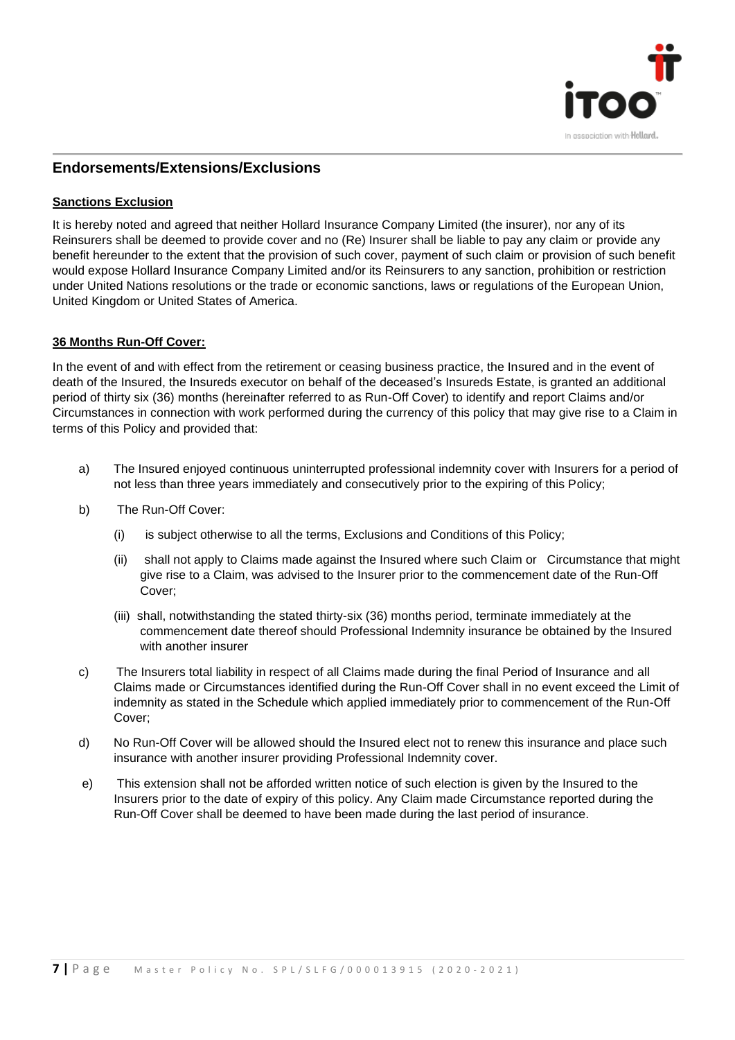

#### **Endorsements/Extensions/Exclusions**

#### **Sanctions Exclusion**

It is hereby noted and agreed that neither Hollard Insurance Company Limited (the insurer), nor any of its Reinsurers shall be deemed to provide cover and no (Re) Insurer shall be liable to pay any claim or provide any benefit hereunder to the extent that the provision of such cover, payment of such claim or provision of such benefit would expose Hollard Insurance Company Limited and/or its Reinsurers to any sanction, prohibition or restriction under United Nations resolutions or the trade or economic sanctions, laws or regulations of the European Union, United Kingdom or United States of America.

#### **36 Months Run-Off Cover:**

In the event of and with effect from the retirement or ceasing business practice, the Insured and in the event of death of the Insured, the Insureds executor on behalf of the deceased's Insureds Estate, is granted an additional period of thirty six (36) months (hereinafter referred to as Run-Off Cover) to identify and report Claims and/or Circumstances in connection with work performed during the currency of this policy that may give rise to a Claim in terms of this Policy and provided that:

- a) The Insured enjoyed continuous uninterrupted professional indemnity cover with Insurers for a period of not less than three years immediately and consecutively prior to the expiring of this Policy;
- b) The Run-Off Cover:
	- (i) is subject otherwise to all the terms, Exclusions and Conditions of this Policy;
	- (ii) shall not apply to Claims made against the Insured where such Claim or Circumstance that might give rise to a Claim, was advised to the Insurer prior to the commencement date of the Run-Off Cover;
	- (iii) shall, notwithstanding the stated thirty-six (36) months period, terminate immediately at the commencement date thereof should Professional Indemnity insurance be obtained by the Insured with another insurer
- c) The Insurers total liability in respect of all Claims made during the final Period of Insurance and all Claims made or Circumstances identified during the Run-Off Cover shall in no event exceed the Limit of indemnity as stated in the Schedule which applied immediately prior to commencement of the Run-Off Cover;
- d) No Run-Off Cover will be allowed should the Insured elect not to renew this insurance and place such insurance with another insurer providing Professional Indemnity cover.
- e) This extension shall not be afforded written notice of such election is given by the Insured to the Insurers prior to the date of expiry of this policy. Any Claim made Circumstance reported during the Run-Off Cover shall be deemed to have been made during the last period of insurance.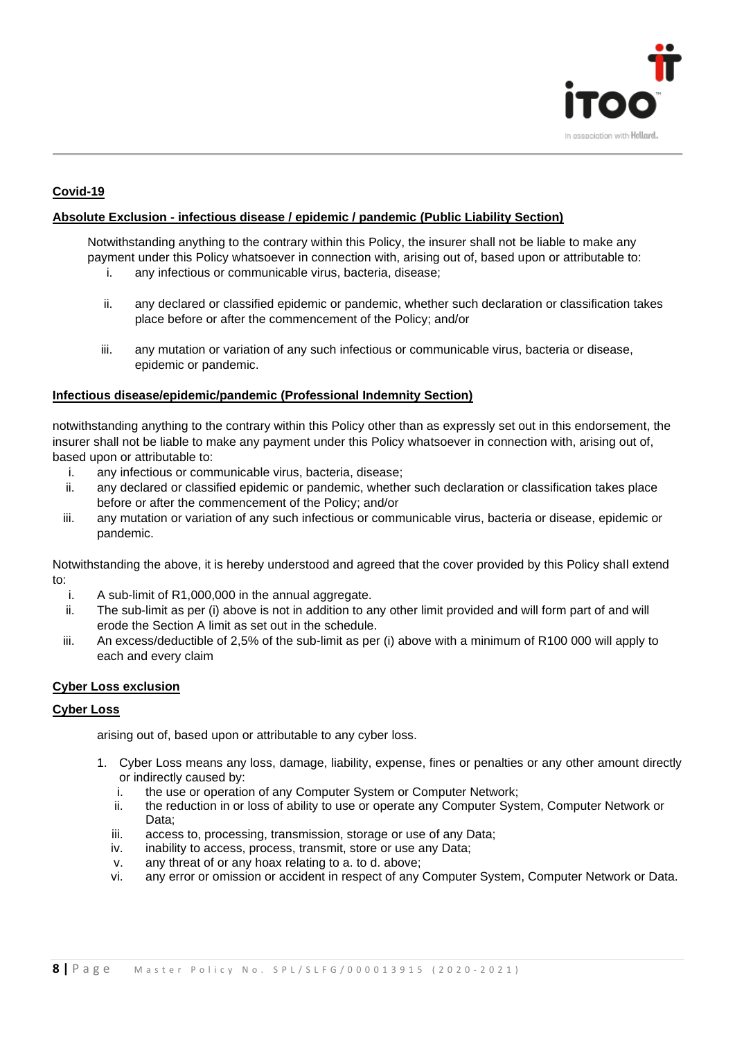

#### **Covid-19**

#### **Absolute Exclusion - infectious disease / epidemic / pandemic (Public Liability Section)**

Notwithstanding anything to the contrary within this Policy, the insurer shall not be liable to make any payment under this Policy whatsoever in connection with, arising out of, based upon or attributable to:

i. any infectious or communicable virus, bacteria, disease;

- ii. any declared or classified epidemic or pandemic, whether such declaration or classification takes place before or after the commencement of the Policy; and/or
- iii. any mutation or variation of any such infectious or communicable virus, bacteria or disease, epidemic or pandemic.

#### **Infectious disease/epidemic/pandemic (Professional Indemnity Section)**

notwithstanding anything to the contrary within this Policy other than as expressly set out in this endorsement, the insurer shall not be liable to make any payment under this Policy whatsoever in connection with, arising out of, based upon or attributable to:

- i. any infectious or communicable virus, bacteria, disease;
- ii. any declared or classified epidemic or pandemic, whether such declaration or classification takes place before or after the commencement of the Policy; and/or
- iii. any mutation or variation of any such infectious or communicable virus, bacteria or disease, epidemic or pandemic.

Notwithstanding the above, it is hereby understood and agreed that the cover provided by this Policy shall extend to:

- i. A sub-limit of R1,000,000 in the annual aggregate.
- ii. The sub-limit as per (i) above is not in addition to any other limit provided and will form part of and will erode the Section A limit as set out in the schedule.
- iii. An excess/deductible of 2,5% of the sub-limit as per (i) above with a minimum of R100 000 will apply to each and every claim

#### **Cyber Loss exclusion**

#### **Cyber Loss**

arising out of, based upon or attributable to any cyber loss.

- 1. Cyber Loss means any loss, damage, liability, expense, fines or penalties or any other amount directly or indirectly caused by:
	- i. the use or operation of any Computer System or Computer Network;
	- ii. the reduction in or loss of ability to use or operate any Computer System, Computer Network or Data;
	- iii. access to, processing, transmission, storage or use of any Data;
	- iv. inability to access, process, transmit, store or use any Data;
	- v. any threat of or any hoax relating to a. to d. above;
	- vi. any error or omission or accident in respect of any Computer System, Computer Network or Data.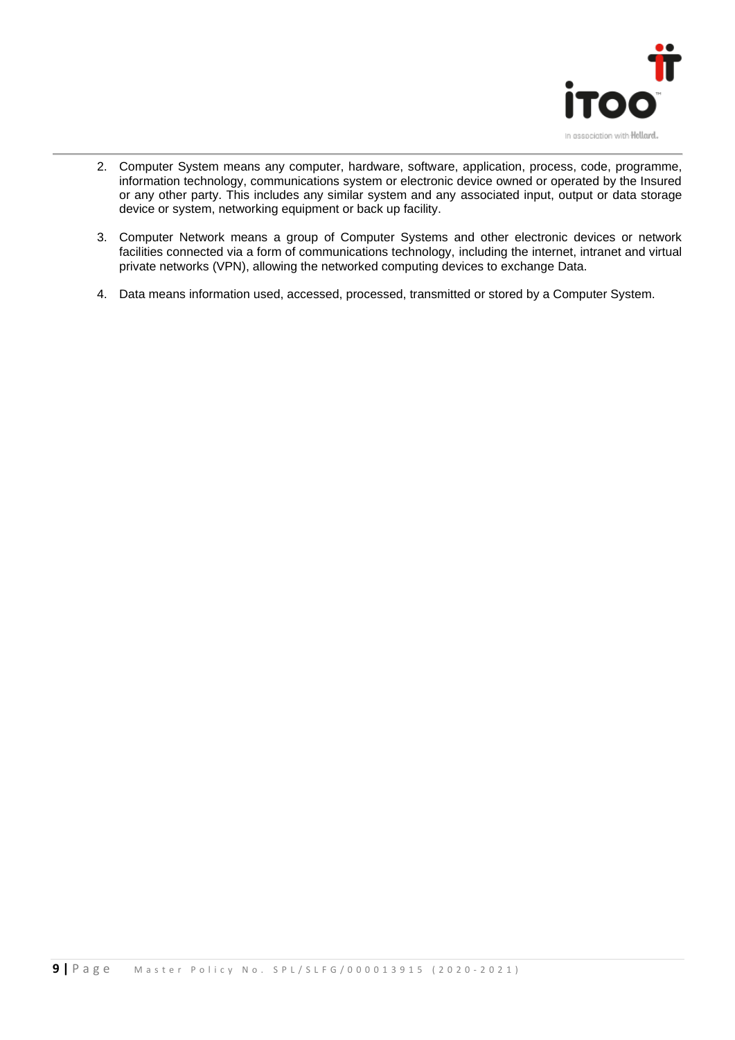

- 2. Computer System means any computer, hardware, software, application, process, code, programme, information technology, communications system or electronic device owned or operated by the Insured or any other party. This includes any similar system and any associated input, output or data storage device or system, networking equipment or back up facility.
- 3. Computer Network means a group of Computer Systems and other electronic devices or network facilities connected via a form of communications technology, including the internet, intranet and virtual private networks (VPN), allowing the networked computing devices to exchange Data.
- 4. Data means information used, accessed, processed, transmitted or stored by a Computer System.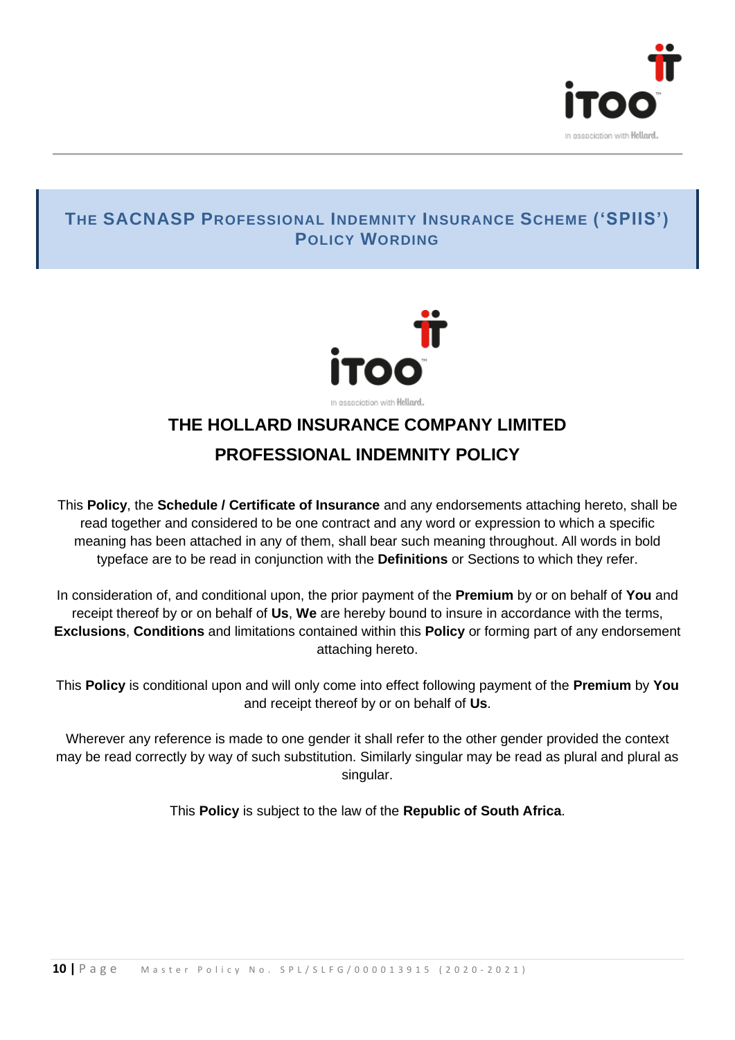

#### **THE SACNASP PROFESSIONAL INDEMNITY INSURANCE SCHEME ('SPIIS') POLICY WORDING**



## **THE HOLLARD INSURANCE COMPANY LIMITED PROFESSIONAL INDEMNITY POLICY**

This **Policy**, the **Schedule / Certificate of Insurance** and any endorsements attaching hereto, shall be read together and considered to be one contract and any word or expression to which a specific meaning has been attached in any of them, shall bear such meaning throughout. All words in bold typeface are to be read in conjunction with the **Definitions** or Sections to which they refer.

In consideration of, and conditional upon, the prior payment of the **Premium** by or on behalf of **You** and receipt thereof by or on behalf of **Us**, **We** are hereby bound to insure in accordance with the terms, **Exclusions**, **Conditions** and limitations contained within this **Policy** or forming part of any endorsement attaching hereto.

This **Policy** is conditional upon and will only come into effect following payment of the **Premium** by **You** and receipt thereof by or on behalf of **Us**.

Wherever any reference is made to one gender it shall refer to the other gender provided the context may be read correctly by way of such substitution. Similarly singular may be read as plural and plural as singular.

This **Policy** is subject to the law of the **Republic of South Africa**.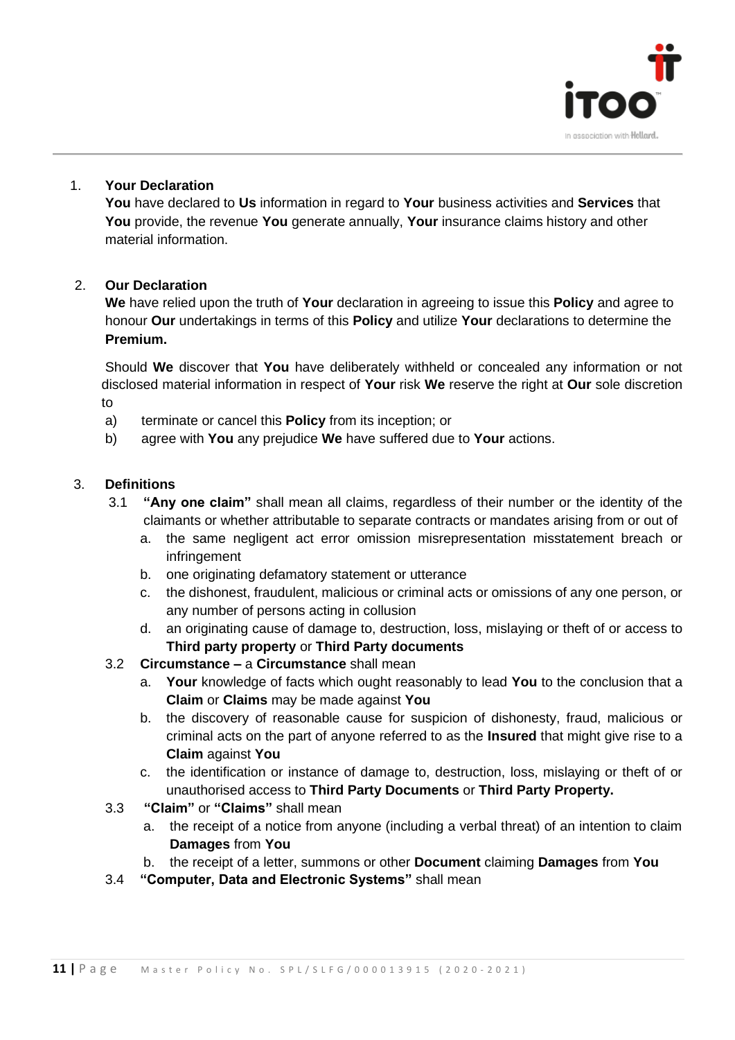

#### 1. **Your Declaration**

**You** have declared to **Us** information in regard to **Your** business activities and **Services** that **You** provide, the revenue **You** generate annually, **Your** insurance claims history and other material information.

#### 2. **Our Declaration**

**We** have relied upon the truth of **Your** declaration in agreeing to issue this **Policy** and agree to honour **Our** undertakings in terms of this **Policy** and utilize **Your** declarations to determine the **Premium.**

Should **We** discover that **You** have deliberately withheld or concealed any information or not disclosed material information in respect of **Your** risk **We** reserve the right at **Our** sole discretion to

- a) terminate or cancel this **Policy** from its inception; or
- b) agree with **You** any prejudice **We** have suffered due to **Your** actions.

#### 3. **Definitions**

- 3.1 **"Any one claim"** shall mean all claims, regardless of their number or the identity of the claimants or whether attributable to separate contracts or mandates arising from or out of
	- a. the same negligent act error omission misrepresentation misstatement breach or infringement
	- b. one originating defamatory statement or utterance
	- c. the dishonest, fraudulent, malicious or criminal acts or omissions of any one person, or any number of persons acting in collusion
	- d. an originating cause of damage to, destruction, loss, mislaying or theft of or access to **Third party property** or **Third Party documents**
- 3.2 **Circumstance –** a **Circumstance** shall mean
	- a. **Your** knowledge of facts which ought reasonably to lead **You** to the conclusion that a **Claim** or **Claims** may be made against **You**
	- b. the discovery of reasonable cause for suspicion of dishonesty, fraud, malicious or criminal acts on the part of anyone referred to as the **Insured** that might give rise to a **Claim** against **You**
	- c. the identification or instance of damage to, destruction, loss, mislaying or theft of or unauthorised access to **Third Party Documents** or **Third Party Property.**
- 3.3 **"Claim"** or **"Claims"** shall mean
	- a. the receipt of a notice from anyone (including a verbal threat) of an intention to claim **Damages** from **You**
	- b. the receipt of a letter, summons or other **Document** claiming **Damages** from **You**
- 3.4 **"Computer, Data and Electronic Systems"** shall mean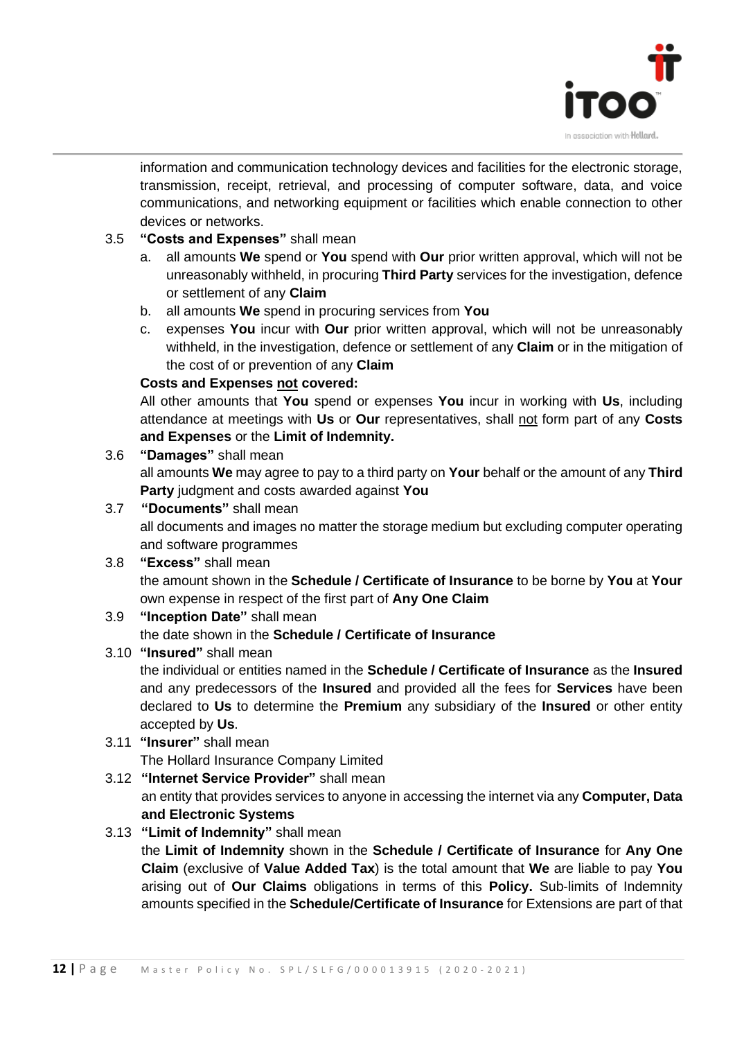

information and communication technology devices and facilities for the electronic storage, transmission, receipt, retrieval, and processing of computer software, data, and voice communications, and networking equipment or facilities which enable connection to other devices or networks.

#### 3.5 **"Costs and Expenses"** shall mean

- a. all amounts **We** spend or **You** spend with **Our** prior written approval, which will not be unreasonably withheld, in procuring **Third Party** services for the investigation, defence or settlement of any **Claim**
- b. all amounts **We** spend in procuring services from **You**
- c. expenses **You** incur with **Our** prior written approval, which will not be unreasonably withheld, in the investigation, defence or settlement of any **Claim** or in the mitigation of the cost of or prevention of any **Claim**

#### **Costs and Expenses not covered:**

All other amounts that **You** spend or expenses **You** incur in working with **Us**, including attendance at meetings with **Us** or **Our** representatives, shall not form part of any **Costs and Expenses** or the **Limit of Indemnity.**

3.6 **"Damages"** shall mean

all amounts **We** may agree to pay to a third party on **Your** behalf or the amount of any **Third Party** judgment and costs awarded against **You**

3.7 **"Documents"** shall mean all documents and images no matter the storage medium but excluding computer operating and software programmes

#### 3.8 **"Excess"** shall mean the amount shown in the **Schedule / Certificate of Insurance** to be borne by **You** at **Your**

own expense in respect of the first part of **Any One Claim** 3.9 **"Inception Date"** shall mean the date shown in the **Schedule / Certificate of Insurance**

#### 3.10 **"Insured"** shall mean

the individual or entities named in the **Schedule / Certificate of Insurance** as the **Insured** and any predecessors of the **Insured** and provided all the fees for **Services** have been declared to **Us** to determine the **Premium** any subsidiary of the **Insured** or other entity accepted by **Us**.

- 3.11 **"Insurer"** shall mean The Hollard Insurance Company Limited
- 3.12 **"Internet Service Provider"** shall mean an entity that provides services to anyone in accessing the internet via any **Computer, Data and Electronic Systems**

#### 3.13 **"Limit of Indemnity"** shall mean

the **Limit of Indemnity** shown in the **Schedule / Certificate of Insurance** for **Any One Claim** (exclusive of **Value Added Tax**) is the total amount that **We** are liable to pay **You** arising out of **Our Claims** obligations in terms of this **Policy.** Sub-limits of Indemnity amounts specified in the **Schedule/Certificate of Insurance** for Extensions are part of that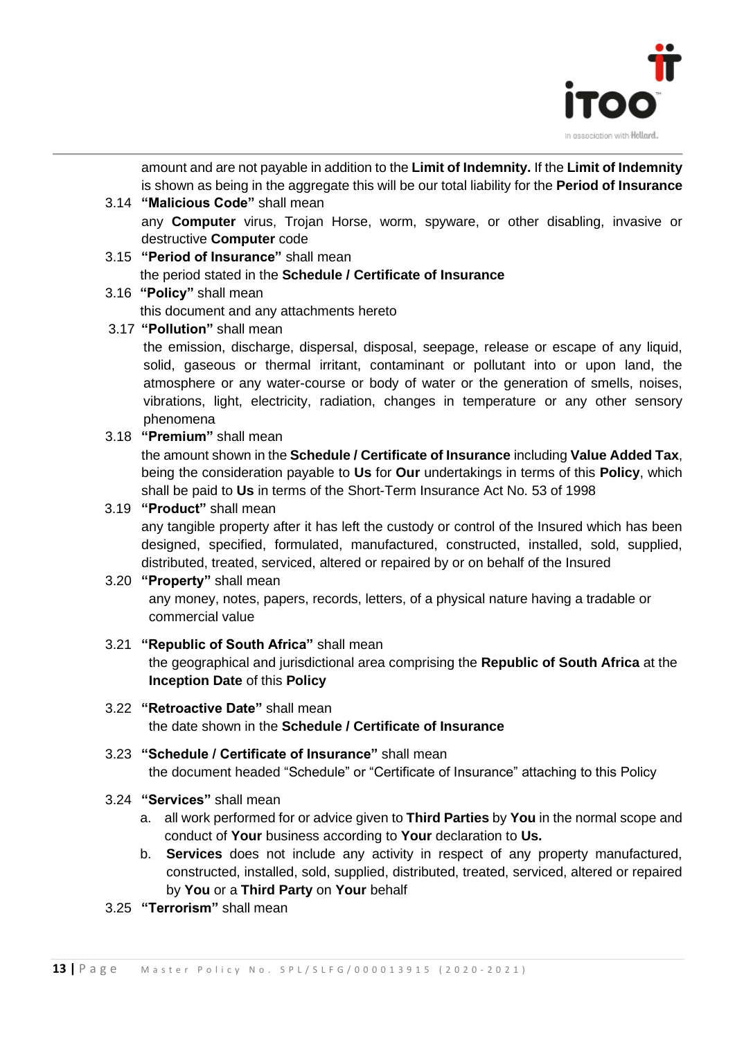

amount and are not payable in addition to the **Limit of Indemnity.** If the **Limit of Indemnity**  is shown as being in the aggregate this will be our total liability for the **Period of Insurance**

- 3.14 **"Malicious Code"** shall mean any **Computer** virus, Trojan Horse, worm, spyware, or other disabling, invasive or destructive **Computer** code
- 3.15 **"Period of Insurance"** shall mean the period stated in the **Schedule / Certificate of Insurance**
- 3.16 **"Policy"** shall mean this document and any attachments hereto
- 3.17 **"Pollution"** shall mean

the emission, discharge, dispersal, disposal, seepage, release or escape of any liquid, solid, gaseous or thermal irritant, contaminant or pollutant into or upon land, the atmosphere or any water-course or body of water or the generation of smells, noises, vibrations, light, electricity, radiation, changes in temperature or any other sensory phenomena

3.18 **"Premium"** shall mean

the amount shown in the **Schedule / Certificate of Insurance** including **Value Added Tax**, being the consideration payable to **Us** for **Our** undertakings in terms of this **Policy**, which shall be paid to **Us** in terms of the Short-Term Insurance Act No. 53 of 1998

3.19 **"Product"** shall mean

any tangible property after it has left the custody or control of the Insured which has been designed, specified, formulated, manufactured, constructed, installed, sold, supplied, distributed, treated, serviced, altered or repaired by or on behalf of the Insured

#### 3.20 **"Property"** shall mean any money, notes, papers, records, letters, of a physical nature having a tradable or commercial value

- 3.21 **"Republic of South Africa"** shall mean the geographical and jurisdictional area comprising the **Republic of South Africa** at the **Inception Date** of this **Policy**
- 3.22 **"Retroactive Date"** shall mean the date shown in the **Schedule / Certificate of Insurance**
- 3.23 **"Schedule / Certificate of Insurance"** shall mean the document headed "Schedule" or "Certificate of Insurance" attaching to this Policy
- 3.24 **"Services"** shall mean
	- a. all work performed for or advice given to **Third Parties** by **You** in the normal scope and conduct of **Your** business according to **Your** declaration to **Us.**
	- b. **Services** does not include any activity in respect of any property manufactured, constructed, installed, sold, supplied, distributed, treated, serviced, altered or repaired by **You** or a **Third Party** on **Your** behalf
- 3.25 **"Terrorism"** shall mean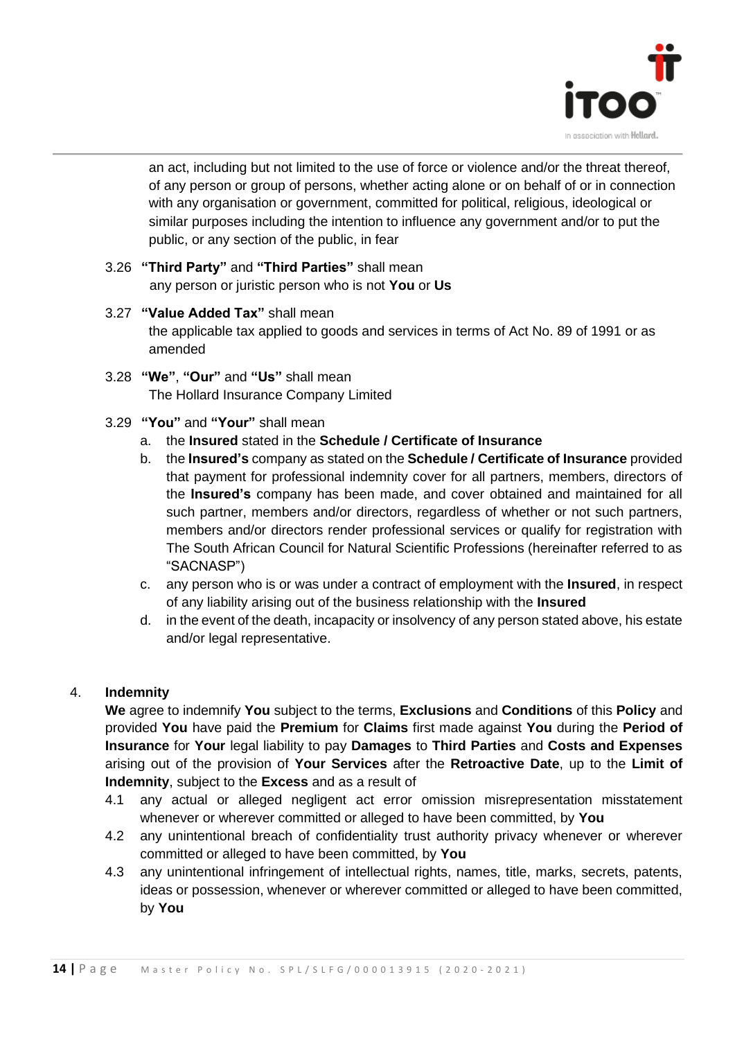

an act, including but not limited to the use of force or violence and/or the threat thereof, of any person or group of persons, whether acting alone or on behalf of or in connection with any organisation or government, committed for political, religious, ideological or similar purposes including the intention to influence any government and/or to put the public, or any section of the public, in fear

- 3.26 **"Third Party"** and **"Third Parties"** shall mean any person or juristic person who is not **You** or **Us**
- 3.27 **"Value Added Tax"** shall mean the applicable tax applied to goods and services in terms of Act No. 89 of 1991 or as amended
- 3.28 **"We"**, **"Our"** and **"Us"** shall mean The Hollard Insurance Company Limited
- 3.29 **"You"** and **"Your"** shall mean
	- a. the **Insured** stated in the **Schedule / Certificate of Insurance**
	- b. the **Insured's** company as stated on the **Schedule / Certificate of Insurance** provided that payment for professional indemnity cover for all partners, members, directors of the **Insured's** company has been made, and cover obtained and maintained for all such partner, members and/or directors, regardless of whether or not such partners, members and/or directors render professional services or qualify for registration with The South African Council for Natural Scientific Professions (hereinafter referred to as "SACNASP")
	- c. any person who is or was under a contract of employment with the **Insured**, in respect of any liability arising out of the business relationship with the **Insured**
	- d. in the event of the death, incapacity or insolvency of any person stated above, his estate and/or legal representative.

#### 4. **Indemnity**

**We** agree to indemnify **You** subject to the terms, **Exclusions** and **Conditions** of this **Policy** and provided **You** have paid the **Premium** for **Claims** first made against **You** during the **Period of Insurance** for **Your** legal liability to pay **Damages** to **Third Parties** and **Costs and Expenses**  arising out of the provision of **Your Services** after the **Retroactive Date**, up to the **Limit of Indemnity**, subject to the **Excess** and as a result of

- 4.1 any actual or alleged negligent act error omission misrepresentation misstatement whenever or wherever committed or alleged to have been committed, by **You**
- 4.2 any unintentional breach of confidentiality trust authority privacy whenever or wherever committed or alleged to have been committed, by **You**
- 4.3 any unintentional infringement of intellectual rights, names, title, marks, secrets, patents, ideas or possession, whenever or wherever committed or alleged to have been committed, by **You**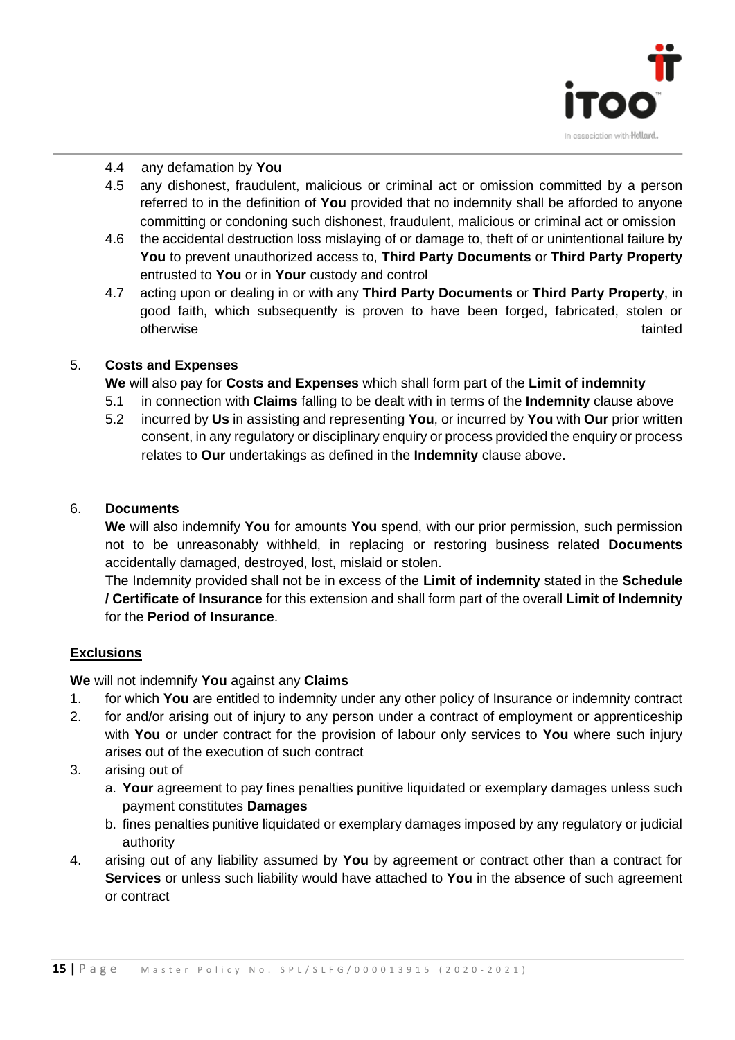

#### 4.4 any defamation by **You**

- 4.5 any dishonest, fraudulent, malicious or criminal act or omission committed by a person referred to in the definition of **You** provided that no indemnity shall be afforded to anyone committing or condoning such dishonest, fraudulent, malicious or criminal act or omission
- 4.6 the accidental destruction loss mislaying of or damage to, theft of or unintentional failure by **You** to prevent unauthorized access to, **Third Party Documents** or **Third Party Property** entrusted to **You** or in **Your** custody and control
- 4.7 acting upon or dealing in or with any **Third Party Documents** or **Third Party Property**, in good faith, which subsequently is proven to have been forged, fabricated, stolen or otherwise tainted

#### 5. **Costs and Expenses**

**We** will also pay for **Costs and Expenses** which shall form part of the **Limit of indemnity**

- 5.1 in connection with **Claims** falling to be dealt with in terms of the **Indemnity** clause above
- 5.2 incurred by **Us** in assisting and representing **You**, or incurred by **You** with **Our** prior written consent, in any regulatory or disciplinary enquiry or process provided the enquiry or process relates to **Our** undertakings as defined in the **Indemnity** clause above.

#### 6. **Documents**

**We** will also indemnify **You** for amounts **You** spend, with our prior permission, such permission not to be unreasonably withheld, in replacing or restoring business related **Documents** accidentally damaged, destroyed, lost, mislaid or stolen.

The Indemnity provided shall not be in excess of the **Limit of indemnity** stated in the **Schedule / Certificate of Insurance** for this extension and shall form part of the overall **Limit of Indemnity**  for the **Period of Insurance**.

#### **Exclusions**

**We** will not indemnify **You** against any **Claims**

- 1. for which **You** are entitled to indemnity under any other policy of Insurance or indemnity contract
- 2. for and/or arising out of injury to any person under a contract of employment or apprenticeship with **You** or under contract for the provision of labour only services to **You** where such injury arises out of the execution of such contract
- 3. arising out of
	- a. **Your** agreement to pay fines penalties punitive liquidated or exemplary damages unless such payment constitutes **Damages**
	- b. fines penalties punitive liquidated or exemplary damages imposed by any regulatory or judicial authority
- 4. arising out of any liability assumed by **You** by agreement or contract other than a contract for **Services** or unless such liability would have attached to **You** in the absence of such agreement or contract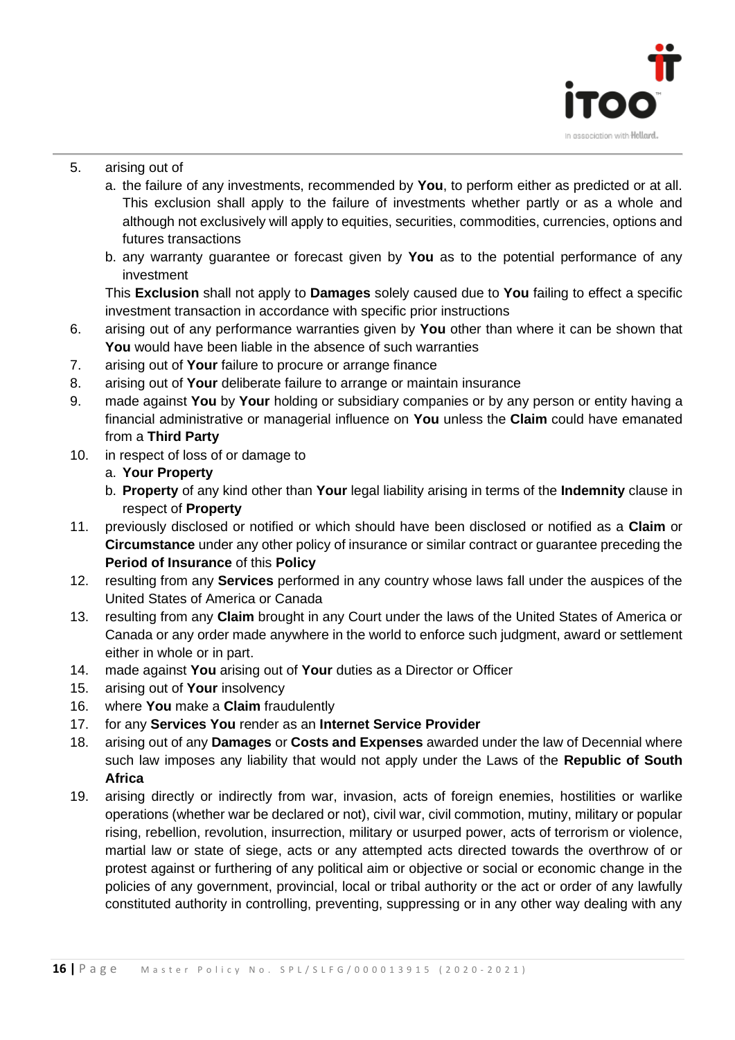

#### 5. arising out of

- a. the failure of any investments, recommended by **You**, to perform either as predicted or at all. This exclusion shall apply to the failure of investments whether partly or as a whole and although not exclusively will apply to equities, securities, commodities, currencies, options and futures transactions
- b. any warranty guarantee or forecast given by **You** as to the potential performance of any investment

This **Exclusion** shall not apply to **Damages** solely caused due to **You** failing to effect a specific investment transaction in accordance with specific prior instructions

- 6. arising out of any performance warranties given by **You** other than where it can be shown that **You** would have been liable in the absence of such warranties
- 7. arising out of **Your** failure to procure or arrange finance
- 8. arising out of **Your** deliberate failure to arrange or maintain insurance
- 9. made against **You** by **Your** holding or subsidiary companies or by any person or entity having a financial administrative or managerial influence on **You** unless the **Claim** could have emanated from a **Third Party**
- 10. in respect of loss of or damage to
	- a. **Your Property**
	- b. **Property** of any kind other than **Your** legal liability arising in terms of the **Indemnity** clause in respect of **Property**
- 11. previously disclosed or notified or which should have been disclosed or notified as a **Claim** or **Circumstance** under any other policy of insurance or similar contract or guarantee preceding the **Period of Insurance** of this **Policy**
- 12. resulting from any **Services** performed in any country whose laws fall under the auspices of the United States of America or Canada
- 13. resulting from any **Claim** brought in any Court under the laws of the United States of America or Canada or any order made anywhere in the world to enforce such judgment, award or settlement either in whole or in part.
- 14. made against **You** arising out of **Your** duties as a Director or Officer
- 15. arising out of **Your** insolvency
- 16. where **You** make a **Claim** fraudulently
- 17. for any **Services You** render as an **Internet Service Provider**
- 18. arising out of any **Damages** or **Costs and Expenses** awarded under the law of Decennial where such law imposes any liability that would not apply under the Laws of the **Republic of South Africa**
- 19. arising directly or indirectly from war, invasion, acts of foreign enemies, hostilities or warlike operations (whether war be declared or not), civil war, civil commotion, mutiny, military or popular rising, rebellion, revolution, insurrection, military or usurped power, acts of terrorism or violence, martial law or state of siege, acts or any attempted acts directed towards the overthrow of or protest against or furthering of any political aim or objective or social or economic change in the policies of any government, provincial, local or tribal authority or the act or order of any lawfully constituted authority in controlling, preventing, suppressing or in any other way dealing with any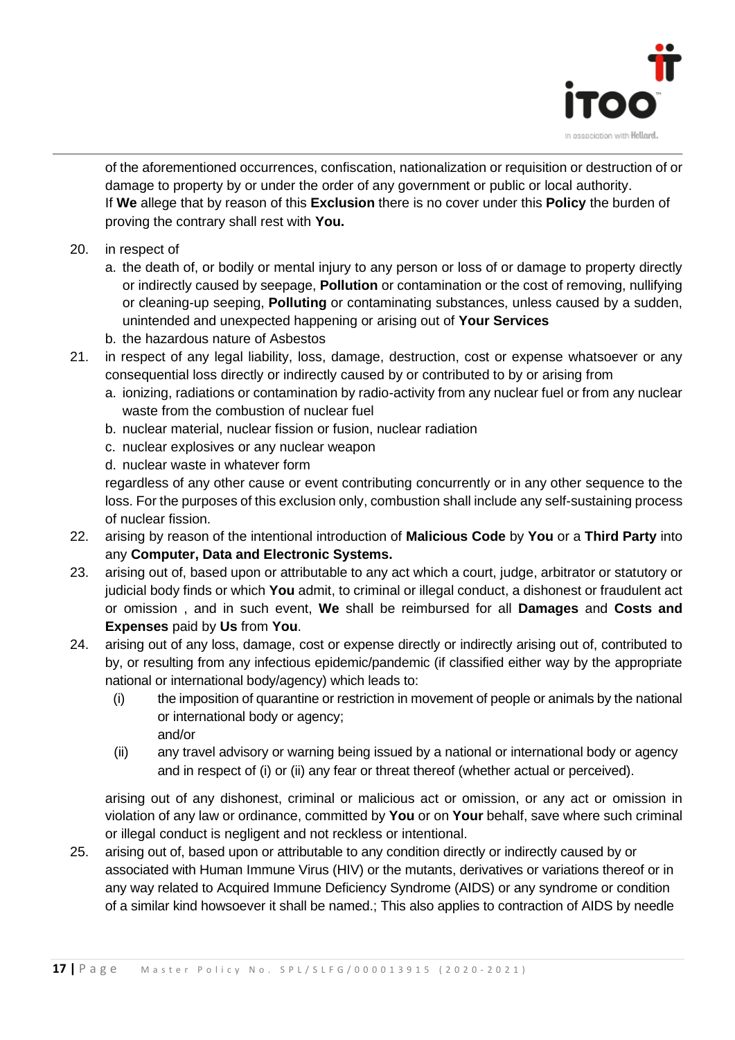

of the aforementioned occurrences, confiscation, nationalization or requisition or destruction of or damage to property by or under the order of any government or public or local authority. If **We** allege that by reason of this **Exclusion** there is no cover under this **Policy** the burden of proving the contrary shall rest with **You.**

- 20. in respect of
	- a. the death of, or bodily or mental injury to any person or loss of or damage to property directly or indirectly caused by seepage, **Pollution** or contamination or the cost of removing, nullifying or cleaning-up seeping, **Polluting** or contaminating substances, unless caused by a sudden, unintended and unexpected happening or arising out of **Your Services**
	- b. the hazardous nature of Asbestos
- 21. in respect of any legal liability, loss, damage, destruction, cost or expense whatsoever or any consequential loss directly or indirectly caused by or contributed to by or arising from
	- a. ionizing, radiations or contamination by radio-activity from any nuclear fuel or from any nuclear waste from the combustion of nuclear fuel
	- b. nuclear material, nuclear fission or fusion, nuclear radiation
	- c. nuclear explosives or any nuclear weapon
	- d. nuclear waste in whatever form

regardless of any other cause or event contributing concurrently or in any other sequence to the loss. For the purposes of this exclusion only, combustion shall include any self-sustaining process of nuclear fission.

- 22. arising by reason of the intentional introduction of **Malicious Code** by **You** or a **Third Party** into any **Computer, Data and Electronic Systems.**
- 23. arising out of, based upon or attributable to any act which a court, judge, arbitrator or statutory or judicial body finds or which **You** admit, to criminal or illegal conduct, a dishonest or fraudulent act or omission , and in such event, **We** shall be reimbursed for all **Damages** and **Costs and Expenses** paid by **Us** from **You**.
- 24. arising out of any loss, damage, cost or expense directly or indirectly arising out of, contributed to by, or resulting from any infectious epidemic/pandemic (if classified either way by the appropriate national or international body/agency) which leads to:
	- (i) the imposition of quarantine or restriction in movement of people or animals by the national or international body or agency; and/or
	- (ii) any travel advisory or warning being issued by a national or international body or agency and in respect of (i) or (ii) any fear or threat thereof (whether actual or perceived).

arising out of any dishonest, criminal or malicious act or omission, or any act or omission in violation of any law or ordinance, committed by **You** or on **Your** behalf, save where such criminal or illegal conduct is negligent and not reckless or intentional.

25. arising out of, based upon or attributable to any condition directly or indirectly caused by or associated with Human Immune Virus (HIV) or the mutants, derivatives or variations thereof or in any way related to Acquired Immune Deficiency Syndrome (AIDS) or any syndrome or condition of a similar kind howsoever it shall be named.; This also applies to contraction of AIDS by needle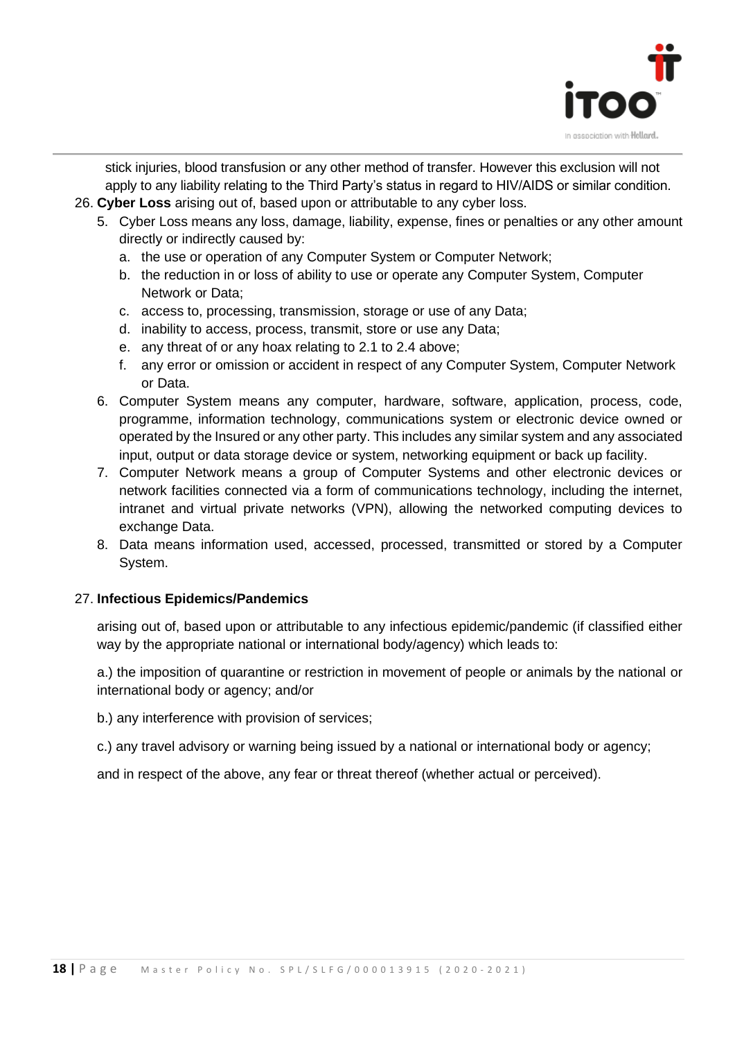

stick injuries, blood transfusion or any other method of transfer. However this exclusion will not apply to any liability relating to the Third Party's status in regard to HIV/AIDS or similar condition.

- 26. **Cyber Loss** arising out of, based upon or attributable to any cyber loss.
	- 5. Cyber Loss means any loss, damage, liability, expense, fines or penalties or any other amount directly or indirectly caused by:
		- a. the use or operation of any Computer System or Computer Network;
		- b. the reduction in or loss of ability to use or operate any Computer System, Computer Network or Data;
		- c. access to, processing, transmission, storage or use of any Data;
		- d. inability to access, process, transmit, store or use any Data;
		- e. any threat of or any hoax relating to 2.1 to 2.4 above;
		- f. any error or omission or accident in respect of any Computer System, Computer Network or Data.
	- 6. Computer System means any computer, hardware, software, application, process, code, programme, information technology, communications system or electronic device owned or operated by the Insured or any other party. This includes any similar system and any associated input, output or data storage device or system, networking equipment or back up facility.
	- 7. Computer Network means a group of Computer Systems and other electronic devices or network facilities connected via a form of communications technology, including the internet, intranet and virtual private networks (VPN), allowing the networked computing devices to exchange Data.
	- 8. Data means information used, accessed, processed, transmitted or stored by a Computer System.

#### 27. **Infectious Epidemics/Pandemics**

arising out of, based upon or attributable to any infectious epidemic/pandemic (if classified either way by the appropriate national or international body/agency) which leads to:

a.) the imposition of quarantine or restriction in movement of people or animals by the national or international body or agency; and/or

b.) any interference with provision of services;

c.) any travel advisory or warning being issued by a national or international body or agency;

and in respect of the above, any fear or threat thereof (whether actual or perceived).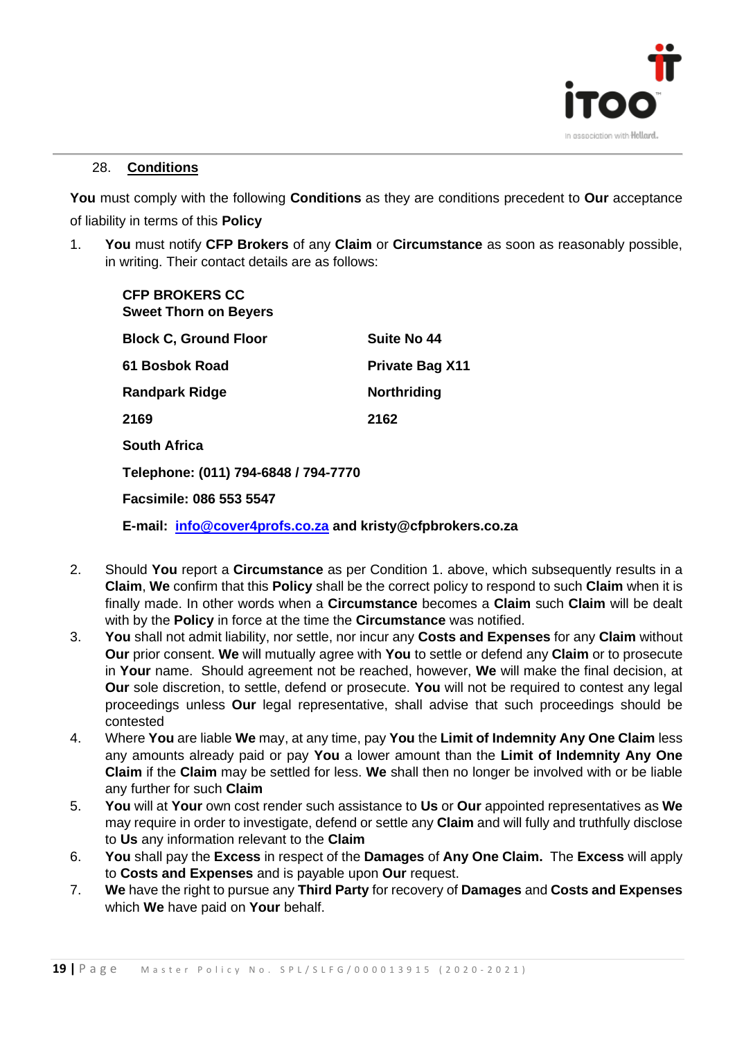

#### 28. **Conditions**

**You** must comply with the following **Conditions** as they are conditions precedent to **Our** acceptance of liability in terms of this **Policy**

1. **You** must notify **CFP Brokers** of any **Claim** or **Circumstance** as soon as reasonably possible, in writing. Their contact details are as follows:

| <b>CFP BROKERS CC</b><br><b>Sweet Thorn on Beyers</b>      |                        |  |
|------------------------------------------------------------|------------------------|--|
| <b>Block C, Ground Floor</b>                               | Suite No 44            |  |
| 61 Bosbok Road                                             | <b>Private Bag X11</b> |  |
| <b>Randpark Ridge</b>                                      | <b>Northriding</b>     |  |
| 2169                                                       | 2162                   |  |
| <b>South Africa</b>                                        |                        |  |
| Telephone: (011) 794-6848 / 794-7770                       |                        |  |
| Facsimile: 086 553 5547                                    |                        |  |
| E-mail: info@cover4profs.co.za and kristy@cfpbrokers.co.za |                        |  |

- 2. Should **You** report a **Circumstance** as per Condition 1. above, which subsequently results in a **Claim**, **We** confirm that this **Policy** shall be the correct policy to respond to such **Claim** when it is finally made. In other words when a **Circumstance** becomes a **Claim** such **Claim** will be dealt with by the **Policy** in force at the time the **Circumstance** was notified.
- 3. **You** shall not admit liability, nor settle, nor incur any **Costs and Expenses** for any **Claim** without **Our** prior consent. **We** will mutually agree with **You** to settle or defend any **Claim** or to prosecute in **Your** name. Should agreement not be reached, however, **We** will make the final decision, at **Our** sole discretion, to settle, defend or prosecute. **You** will not be required to contest any legal proceedings unless **Our** legal representative, shall advise that such proceedings should be contested
- 4. Where **You** are liable **We** may, at any time, pay **You** the **Limit of Indemnity Any One Claim** less any amounts already paid or pay **You** a lower amount than the **Limit of Indemnity Any One Claim** if the **Claim** may be settled for less. **We** shall then no longer be involved with or be liable any further for such **Claim**
- 5. **You** will at **Your** own cost render such assistance to **Us** or **Our** appointed representatives as **We** may require in order to investigate, defend or settle any **Claim** and will fully and truthfully disclose to **Us** any information relevant to the **Claim**
- 6. **You** shall pay the **Excess** in respect of the **Damages** of **Any One Claim.** The **Excess** will apply to **Costs and Expenses** and is payable upon **Our** request.
- 7. **We** have the right to pursue any **Third Party** for recovery of **Damages** and **Costs and Expenses** which **We** have paid on **Your** behalf.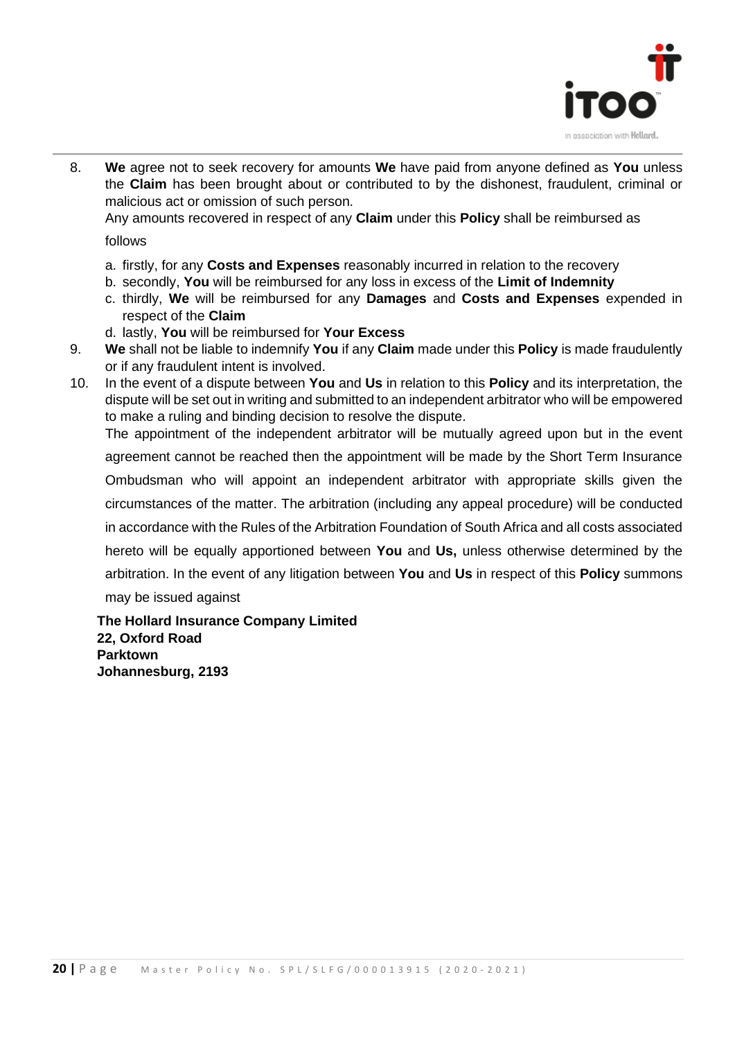

8. **We** agree not to seek recovery for amounts **We** have paid from anyone defined as **You** unless the **Claim** has been brought about or contributed to by the dishonest, fraudulent, criminal or malicious act or omission of such person.

Any amounts recovered in respect of any **Claim** under this **Policy** shall be reimbursed as

follows

- a. firstly, for any **Costs and Expenses** reasonably incurred in relation to the recovery
- b. secondly, **You** will be reimbursed for any loss in excess of the **Limit of Indemnity**
- c. thirdly, **We** will be reimbursed for any **Damages** and **Costs and Expenses** expended in respect of the **Claim**
- d. lastly, **You** will be reimbursed for **Your Excess**
- 9. **We** shall not be liable to indemnify **You** if any **Claim** made under this **Policy** is made fraudulently or if any fraudulent intent is involved.
- 10. In the event of a dispute between **You** and **Us** in relation to this **Policy** and its interpretation, the dispute will be set out in writing and submitted to an independent arbitrator who will be empowered to make a ruling and binding decision to resolve the dispute. The appointment of the independent arbitrator will be mutually agreed upon but in the event agreement cannot be reached then the appointment will be made by the Short Term Insurance Ombudsman who will appoint an independent arbitrator with appropriate skills given the circumstances of the matter. The arbitration (including any appeal procedure) will be conducted in accordance with the Rules of the Arbitration Foundation of South Africa and all costs associated hereto will be equally apportioned between **You** and **Us,** unless otherwise determined by the arbitration. In the event of any litigation between **You** and **Us** in respect of this **Policy** summons may be issued against

**The Hollard Insurance Company Limited 22, Oxford Road Parktown Johannesburg, 2193**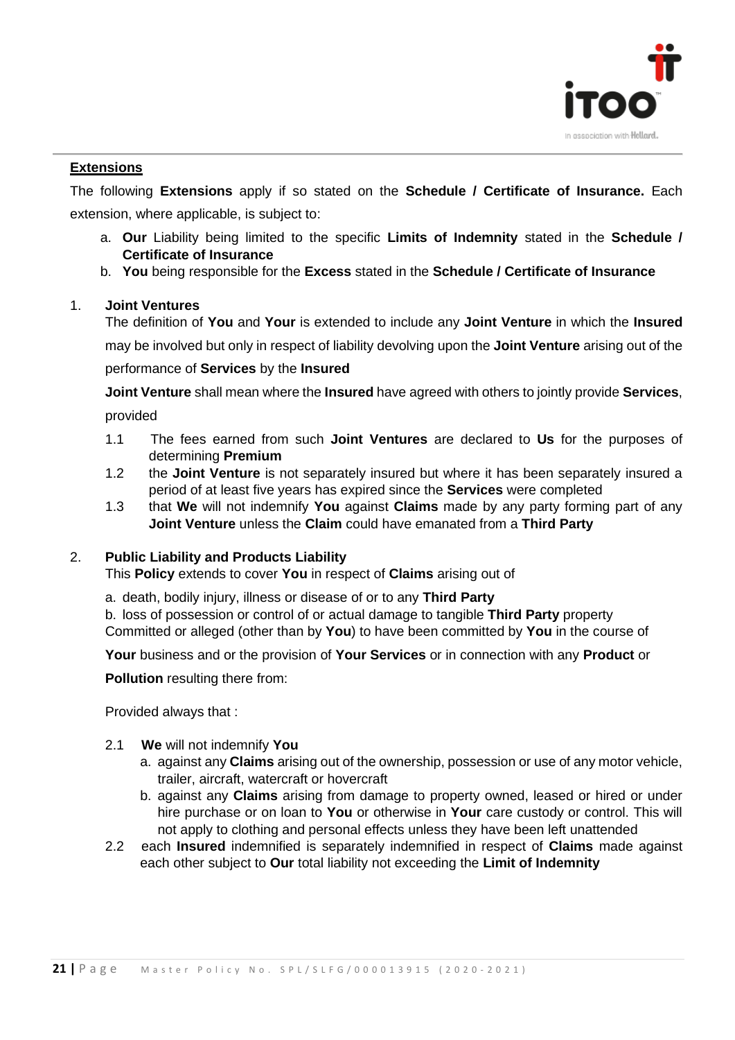

#### **Extensions**

The following **Extensions** apply if so stated on the **Schedule / Certificate of Insurance.** Each extension, where applicable, is subject to:

- a. **Our** Liability being limited to the specific **Limits of Indemnity** stated in the **Schedule / Certificate of Insurance**
- b. **You** being responsible for the **Excess** stated in the **Schedule / Certificate of Insurance**

#### 1. **Joint Ventures**

The definition of **You** and **Your** is extended to include any **Joint Venture** in which the **Insured**  may be involved but only in respect of liability devolving upon the **Joint Venture** arising out of the performance of **Services** by the **Insured**

**Joint Venture** shall mean where the **Insured** have agreed with others to jointly provide **Services**, provided

- 1.1The fees earned from such **Joint Ventures** are declared to **Us** for the purposes of determining **Premium**
- 1.2 the **Joint Venture** is not separately insured but where it has been separately insured a period of at least five years has expired since the **Services** were completed
- 1.3 that **We** will not indemnify **You** against **Claims** made by any party forming part of any **Joint Venture** unless the **Claim** could have emanated from a **Third Party**

#### 2. **Public Liability and Products Liability**

This **Policy** extends to cover **You** in respect of **Claims** arising out of

a. death, bodily injury, illness or disease of or to any **Third Party**

b. loss of possession or control of or actual damage to tangible **Third Party** property Committed or alleged (other than by **You**) to have been committed by **You** in the course of

**Your** business and or the provision of **Your Services** or in connection with any **Product** or

**Pollution** resulting there from:

Provided always that :

- 2.1 **We** will not indemnify **You**
	- a. against any **Claims** arising out of the ownership, possession or use of any motor vehicle, trailer, aircraft, watercraft or hovercraft
	- b. against any **Claims** arising from damage to property owned, leased or hired or under hire purchase or on loan to **You** or otherwise in **Your** care custody or control. This will not apply to clothing and personal effects unless they have been left unattended
- 2.2 each **Insured** indemnified is separately indemnified in respect of **Claims** made against each other subject to **Our** total liability not exceeding the **Limit of Indemnity**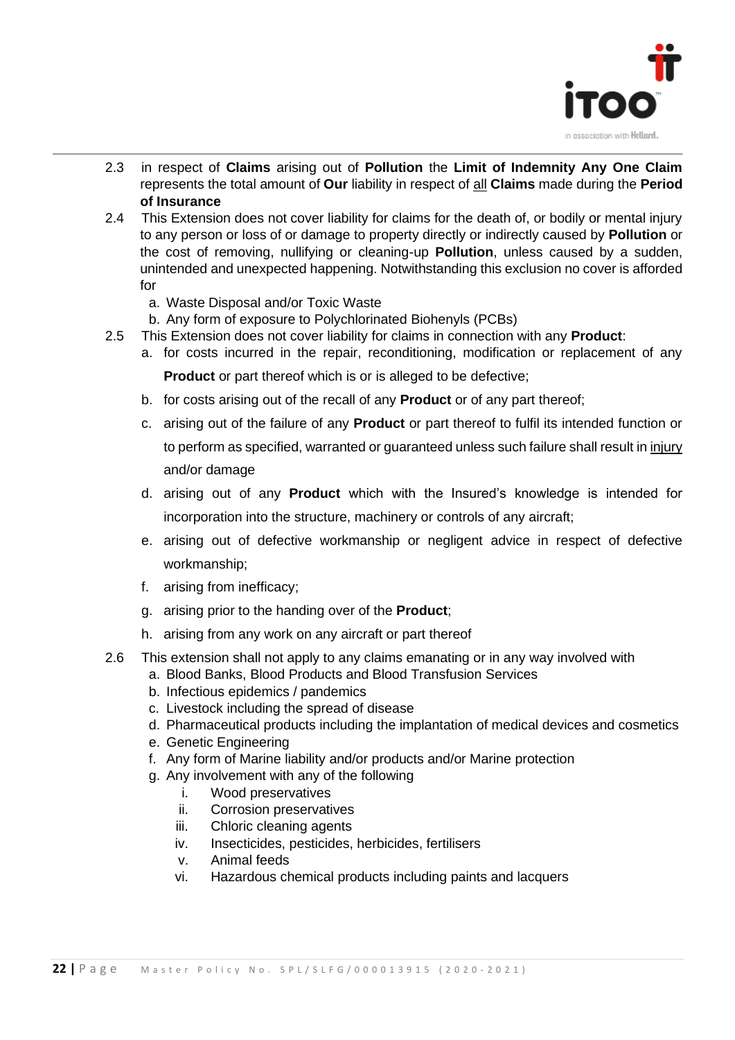

- 2.3 in respect of **Claims** arising out of **Pollution** the **Limit of Indemnity Any One Claim**  represents the total amount of **Our** liability in respect of all **Claims** made during the **Period of Insurance**
- 2.4 This Extension does not cover liability for claims for the death of, or bodily or mental injury to any person or loss of or damage to property directly or indirectly caused by **Pollution** or the cost of removing, nullifying or cleaning-up **Pollution**, unless caused by a sudden, unintended and unexpected happening. Notwithstanding this exclusion no cover is afforded for
	- a. Waste Disposal and/or Toxic Waste
	- b. Any form of exposure to Polychlorinated Biohenyls (PCBs)
- 2.5 This Extension does not cover liability for claims in connection with any **Product**:
	- a. for costs incurred in the repair, reconditioning, modification or replacement of any **Product** or part thereof which is or is alleged to be defective;
	- b. for costs arising out of the recall of any **Product** or of any part thereof;
	- c. arising out of the failure of any **Product** or part thereof to fulfil its intended function or to perform as specified, warranted or guaranteed unless such failure shall result in injury and/or damage
	- d. arising out of any **Product** which with the Insured's knowledge is intended for incorporation into the structure, machinery or controls of any aircraft;
	- e. arising out of defective workmanship or negligent advice in respect of defective workmanship;
	- f. arising from inefficacy;
	- g. arising prior to the handing over of the **Product**;
	- h. arising from any work on any aircraft or part thereof
- 2.6 This extension shall not apply to any claims emanating or in any way involved with
	- a. Blood Banks, Blood Products and Blood Transfusion Services
	- b. Infectious epidemics / pandemics
	- c. Livestock including the spread of disease
	- d. Pharmaceutical products including the implantation of medical devices and cosmetics
	- e. Genetic Engineering
	- f. Any form of Marine liability and/or products and/or Marine protection
	- g. Any involvement with any of the following
		- i. Wood preservatives
		- ii. Corrosion preservatives
		- iii. Chloric cleaning agents
		- iv. Insecticides, pesticides, herbicides, fertilisers
		- v. Animal feeds
		- vi. Hazardous chemical products including paints and lacquers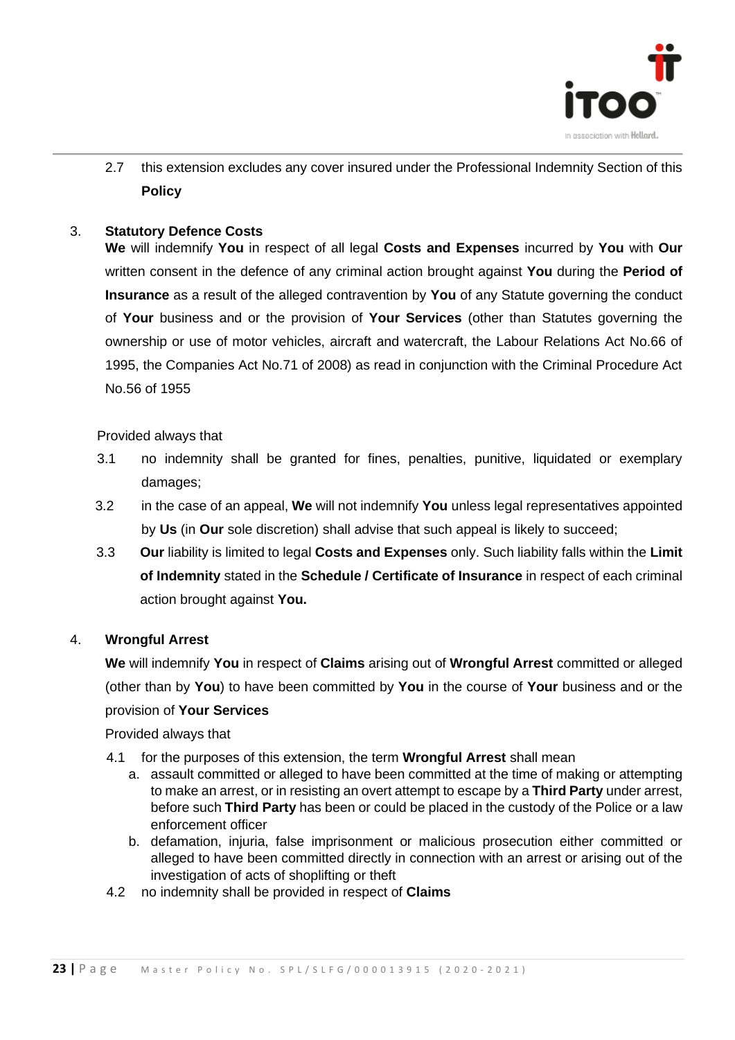

2.7 this extension excludes any cover insured under the Professional Indemnity Section of this **Policy** 

#### 3. **Statutory Defence Costs**

**We** will indemnify **You** in respect of all legal **Costs and Expenses** incurred by **You** with **Our**  written consent in the defence of any criminal action brought against **You** during the **Period of Insurance** as a result of the alleged contravention by **You** of any Statute governing the conduct of **Your** business and or the provision of **Your Services** (other than Statutes governing the ownership or use of motor vehicles, aircraft and watercraft, the Labour Relations Act No.66 of 1995, the Companies Act No.71 of 2008) as read in conjunction with the Criminal Procedure Act No.56 of 1955

Provided always that

- 3.1 no indemnity shall be granted for fines, penalties, punitive, liquidated or exemplary damages;
- 3.2 in the case of an appeal, **We** will not indemnify **You** unless legal representatives appointed by **Us** (in **Our** sole discretion) shall advise that such appeal is likely to succeed;
- 3.3 **Our** liability is limited to legal **Costs and Expenses** only. Such liability falls within the **Limit of Indemnity** stated in the **Schedule / Certificate of Insurance** in respect of each criminal action brought against **You.**

#### 4. **Wrongful Arrest**

**We** will indemnify **You** in respect of **Claims** arising out of **Wrongful Arrest** committed or alleged (other than by **You**) to have been committed by **You** in the course of **Your** business and or the provision of **Your Services**

Provided always that

- 4.1 for the purposes of this extension, the term **Wrongful Arrest** shall mean
	- a. assault committed or alleged to have been committed at the time of making or attempting to make an arrest, or in resisting an overt attempt to escape by a **Third Party** under arrest, before such **Third Party** has been or could be placed in the custody of the Police or a law enforcement officer
	- b. defamation, injuria, false imprisonment or malicious prosecution either committed or alleged to have been committed directly in connection with an arrest or arising out of the investigation of acts of shoplifting or theft
- 4.2 no indemnity shall be provided in respect of **Claims**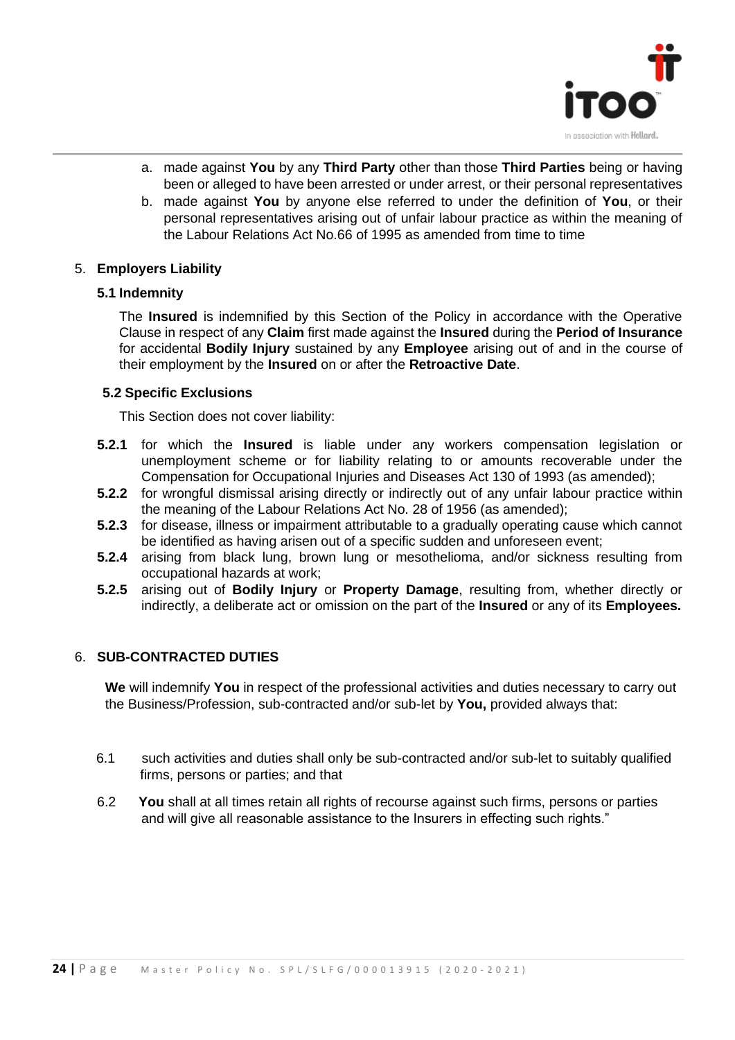

- a. made against **You** by any **Third Party** other than those **Third Parties** being or having been or alleged to have been arrested or under arrest, or their personal representatives
- b. made against **You** by anyone else referred to under the definition of **You**, or their personal representatives arising out of unfair labour practice as within the meaning of the Labour Relations Act No.66 of 1995 as amended from time to time

#### 5. **Employers Liability**

#### **5.1 Indemnity**

The **Insured** is indemnified by this Section of the Policy in accordance with the Operative Clause in respect of any **Claim** first made against the **Insured** during the **Period of Insurance** for accidental **Bodily Injury** sustained by any **Employee** arising out of and in the course of their employment by the **Insured** on or after the **Retroactive Date**.

#### **5.2 Specific Exclusions**

This Section does not cover liability:

- **5.2.1** for which the **Insured** is liable under any workers compensation legislation or unemployment scheme or for liability relating to or amounts recoverable under the Compensation for Occupational Injuries and Diseases Act 130 of 1993 (as amended);
- **5.2.2** for wrongful dismissal arising directly or indirectly out of any unfair labour practice within the meaning of the Labour Relations Act No. 28 of 1956 (as amended);
- **5.2.3** for disease, illness or impairment attributable to a gradually operating cause which cannot be identified as having arisen out of a specific sudden and unforeseen event;
- **5.2.4** arising from black lung, brown lung or mesothelioma, and/or sickness resulting from occupational hazards at work;
- **5.2.5** arising out of **Bodily Injury** or **Property Damage**, resulting from, whether directly or indirectly, a deliberate act or omission on the part of the **Insured** or any of its **Employees.**

#### 6. **SUB-CONTRACTED DUTIES**

**We** will indemnify **You** in respect of the professional activities and duties necessary to carry out the Business/Profession, sub-contracted and/or sub-let by **You,** provided always that:

- 6.1 such activities and duties shall only be sub-contracted and/or sub-let to suitably qualified firms, persons or parties; and that
- 6.2 **You** shall at all times retain all rights of recourse against such firms, persons or parties and will give all reasonable assistance to the Insurers in effecting such rights."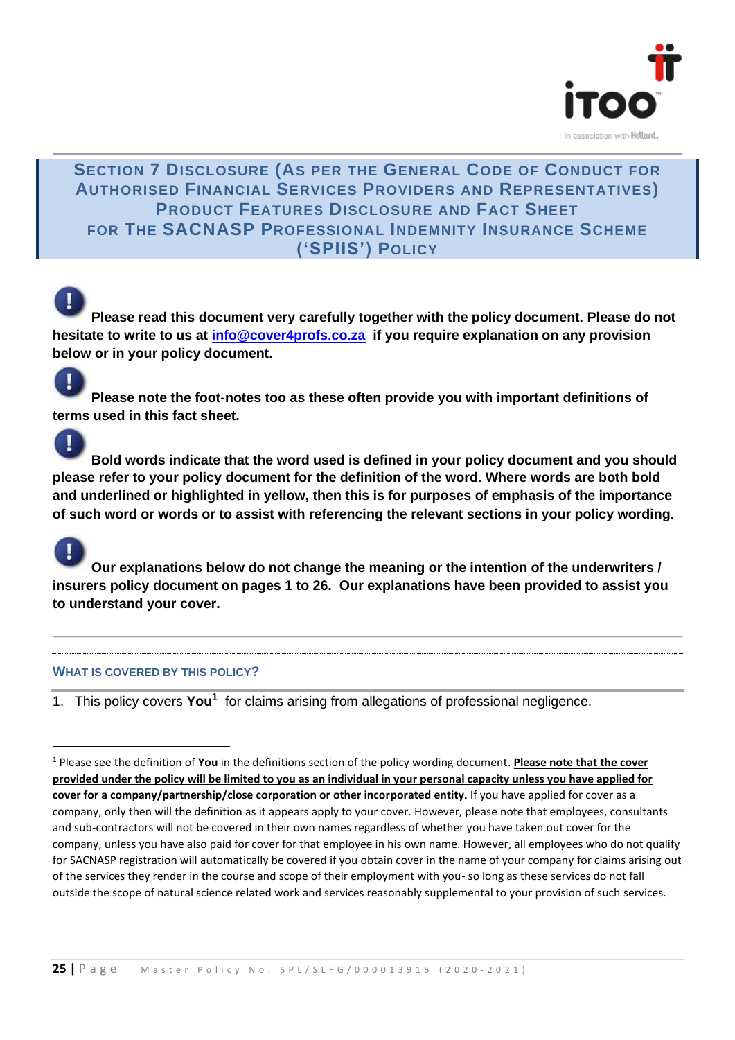

#### **SECTION 7 DISCLOSURE (AS PER THE GENERAL CODE OF CONDUCT FOR AUTHORISED FINANCIAL SERVICES PROVIDERS AND REPRESENTATIVES) PRODUCT FEATURES DISCLOSURE AND FACT SHEET FOR THE SACNASP PROFESSIONAL INDEMNITY INSURANCE SCHEME ('SPIIS') POLICY**

**Please read this document very carefully together with the policy document. Please do not hesitate to write to us at [info@cover4profs.co.za](mailto:info@cover4profs.co.za) if you require explanation on any provision below or in your policy document.**

**Please note the foot-notes too as these often provide you with important definitions of terms used in this fact sheet.** 

**Bold words indicate that the word used is defined in your policy document and you should please refer to your policy document for the definition of the word. Where words are both bold and underlined or highlighted in yellow, then this is for purposes of emphasis of the importance of such word or words or to assist with referencing the relevant sections in your policy wording.** 

**Our explanations below do not change the meaning or the intention of the underwriters / insurers policy document on pages 1 to 26. Our explanations have been provided to assist you to understand your cover.**

#### **WHAT IS COVERED BY THIS POLICY?**

1. This policy covers You<sup>1</sup> for claims arising from allegations of professional negligence.

<sup>1</sup> Please see the definition of **You** in the definitions section of the policy wording document. **Please note that the cover provided under the policy will be limited to you as an individual in your personal capacity unless you have applied for cover for a company/partnership/close corporation or other incorporated entity.** If you have applied for cover as a company, only then will the definition as it appears apply to your cover. However, please note that employees, consultants and sub-contractors will not be covered in their own names regardless of whether you have taken out cover for the company, unless you have also paid for cover for that employee in his own name. However, all employees who do not qualify for SACNASP registration will automatically be covered if you obtain cover in the name of your company for claims arising out of the services they render in the course and scope of their employment with you- so long as these services do not fall outside the scope of natural science related work and services reasonably supplemental to your provision of such services.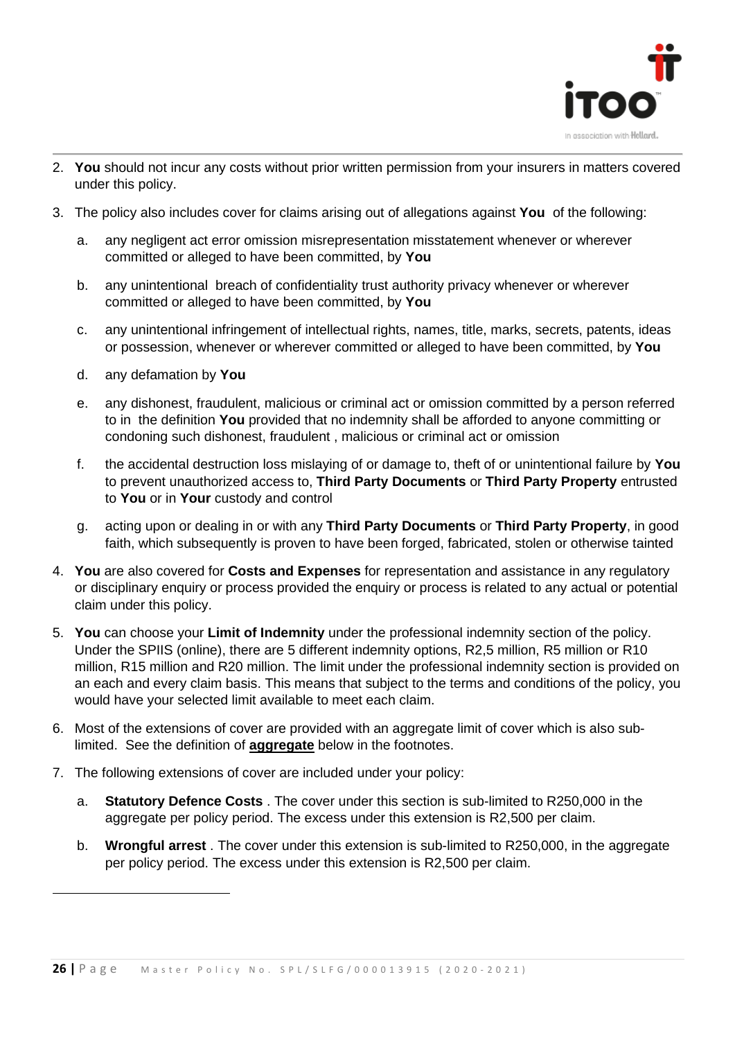

- 2. **You** should not incur any costs without prior written permission from your insurers in matters covered under this policy.
- 3. The policy also includes cover for claims arising out of allegations against **You** of the following:
	- a. any negligent act error omission misrepresentation misstatement whenever or wherever committed or alleged to have been committed, by **You**
	- b. any unintentional breach of confidentiality trust authority privacy whenever or wherever committed or alleged to have been committed, by **You**
	- c. any unintentional infringement of intellectual rights, names, title, marks, secrets, patents, ideas or possession, whenever or wherever committed or alleged to have been committed, by **You**
	- d. any defamation by **You**
	- e. any dishonest, fraudulent, malicious or criminal act or omission committed by a person referred to in the definition **You** provided that no indemnity shall be afforded to anyone committing or condoning such dishonest, fraudulent , malicious or criminal act or omission
	- f. the accidental destruction loss mislaying of or damage to, theft of or unintentional failure by **You** to prevent unauthorized access to, **Third Party Documents** or **Third Party Property** entrusted to **You** or in **Your** custody and control
	- g. acting upon or dealing in or with any **Third Party Documents** or **Third Party Property**, in good faith, which subsequently is proven to have been forged, fabricated, stolen or otherwise tainted
- 4. **You** are also covered for **Costs and Expenses** for representation and assistance in any regulatory or disciplinary enquiry or process provided the enquiry or process is related to any actual or potential claim under this policy.
- 5. **You** can choose your **Limit of Indemnity** under the professional indemnity section of the policy. Under the SPIIS (online), there are 5 different indemnity options, R2,5 million, R5 million or R10 million, R15 million and R20 million. The limit under the professional indemnity section is provided on an each and every claim basis. This means that subject to the terms and conditions of the policy, you would have your selected limit available to meet each claim.
- 6. Most of the extensions of cover are provided with an aggregate limit of cover which is also sublimited. See the definition of **aggregate** below in the footnotes.
- 7. The following extensions of cover are included under your policy:
	- a. **Statutory Defence Costs** . The cover under this section is sub-limited to R250,000 in the aggregate per policy period. The excess under this extension is R2,500 per claim.
	- b. **Wrongful arrest** . The cover under this extension is sub-limited to R250,000, in the aggregate per policy period. The excess under this extension is R2,500 per claim.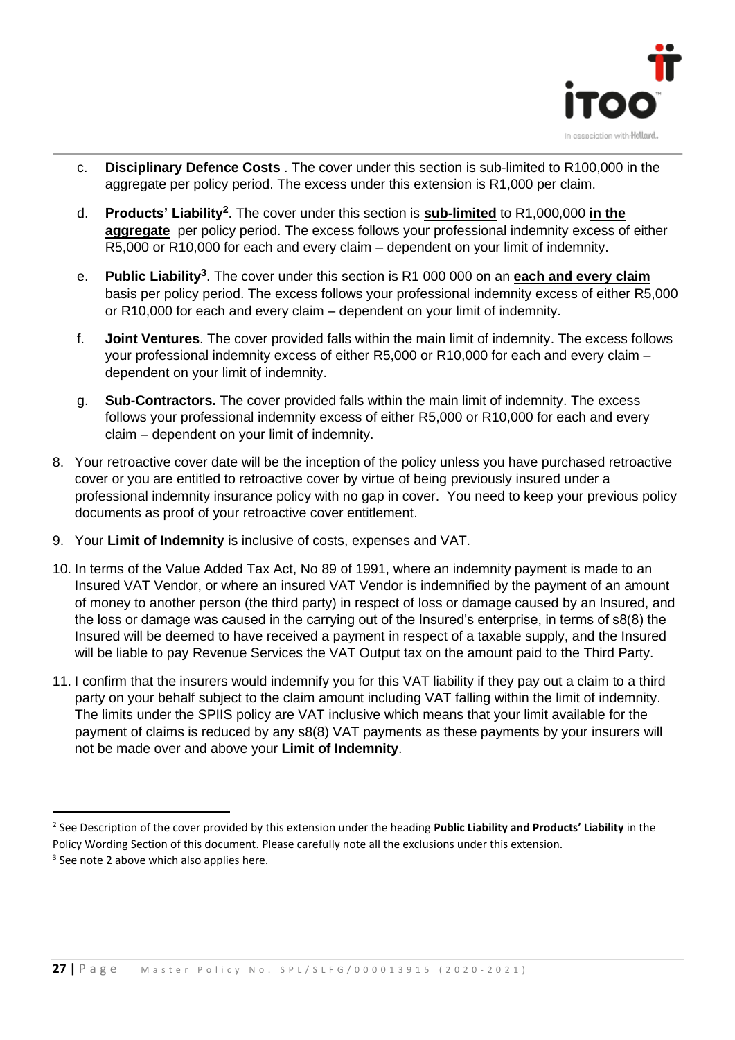

- c. **Disciplinary Defence Costs** . The cover under this section is sub-limited to R100,000 in the aggregate per policy period. The excess under this extension is R1,000 per claim.
- d. **Products' Liability<sup>2</sup>** . The cover under this section is **sub-limited** to R1,000,000 **in the aggregate** per policy period. The excess follows your professional indemnity excess of either R5,000 or R10,000 for each and every claim – dependent on your limit of indemnity.
- e. **Public Liability<sup>3</sup>** . The cover under this section is R1 000 000 on an **each and every claim**  basis per policy period. The excess follows your professional indemnity excess of either R5,000 or R10,000 for each and every claim – dependent on your limit of indemnity.
- f. **Joint Ventures**. The cover provided falls within the main limit of indemnity. The excess follows your professional indemnity excess of either R5,000 or R10,000 for each and every claim – dependent on your limit of indemnity.
- g. **Sub-Contractors.** The cover provided falls within the main limit of indemnity. The excess follows your professional indemnity excess of either R5,000 or R10,000 for each and every claim – dependent on your limit of indemnity.
- 8. Your retroactive cover date will be the inception of the policy unless you have purchased retroactive cover or you are entitled to retroactive cover by virtue of being previously insured under a professional indemnity insurance policy with no gap in cover. You need to keep your previous policy documents as proof of your retroactive cover entitlement.
- 9. Your **Limit of Indemnity** is inclusive of costs, expenses and VAT.
- 10. In terms of the Value Added Tax Act, No 89 of 1991, where an indemnity payment is made to an Insured VAT Vendor, or where an insured VAT Vendor is indemnified by the payment of an amount of money to another person (the third party) in respect of loss or damage caused by an Insured, and the loss or damage was caused in the carrying out of the Insured's enterprise, in terms of s8(8) the Insured will be deemed to have received a payment in respect of a taxable supply, and the Insured will be liable to pay Revenue Services the VAT Output tax on the amount paid to the Third Party.
- 11. I confirm that the insurers would indemnify you for this VAT liability if they pay out a claim to a third party on your behalf subject to the claim amount including VAT falling within the limit of indemnity. The limits under the SPIIS policy are VAT inclusive which means that your limit available for the payment of claims is reduced by any s8(8) VAT payments as these payments by your insurers will not be made over and above your **Limit of Indemnity**.

<sup>2</sup> See Description of the cover provided by this extension under the heading **Public Liability and Products' Liability** in the Policy Wording Section of this document. Please carefully note all the exclusions under this extension.

<sup>&</sup>lt;sup>3</sup> See note 2 above which also applies here.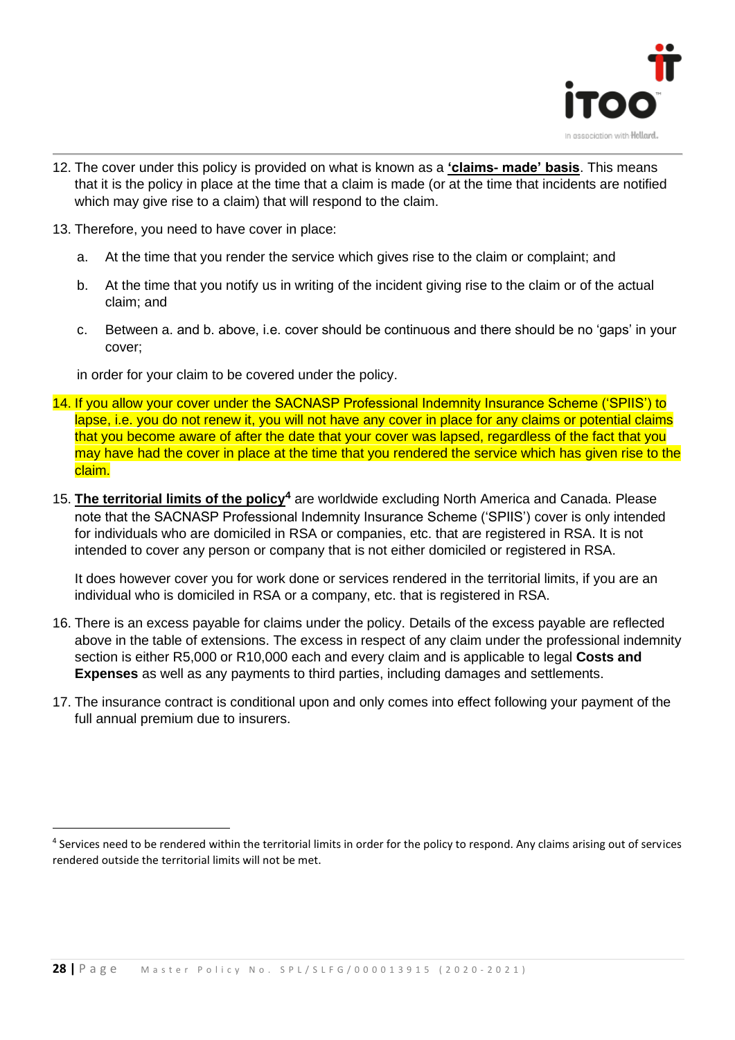

- 12. The cover under this policy is provided on what is known as a **'claims- made' basis**. This means that it is the policy in place at the time that a claim is made (or at the time that incidents are notified which may give rise to a claim) that will respond to the claim.
- 13. Therefore, you need to have cover in place:
	- a. At the time that you render the service which gives rise to the claim or complaint; and
	- b. At the time that you notify us in writing of the incident giving rise to the claim or of the actual claim; and
	- c. Between a. and b. above, i.e. cover should be continuous and there should be no 'gaps' in your cover;

in order for your claim to be covered under the policy.

- 14. If you allow your cover under the SACNASP Professional Indemnity Insurance Scheme ('SPIIS') to lapse, i.e. you do not renew it, you will not have any cover in place for any claims or potential claims that you become aware of after the date that your cover was lapsed, regardless of the fact that you may have had the cover in place at the time that you rendered the service which has given rise to the claim.
- 15. **The territorial limits of the policy<sup>4</sup>** are worldwide excluding North America and Canada. Please note that the SACNASP Professional Indemnity Insurance Scheme ('SPIIS') cover is only intended for individuals who are domiciled in RSA or companies, etc. that are registered in RSA. It is not intended to cover any person or company that is not either domiciled or registered in RSA.

It does however cover you for work done or services rendered in the territorial limits, if you are an individual who is domiciled in RSA or a company, etc. that is registered in RSA.

- 16. There is an excess payable for claims under the policy. Details of the excess payable are reflected above in the table of extensions. The excess in respect of any claim under the professional indemnity section is either R5,000 or R10,000 each and every claim and is applicable to legal **Costs and Expenses** as well as any payments to third parties, including damages and settlements.
- 17. The insurance contract is conditional upon and only comes into effect following your payment of the full annual premium due to insurers.

<sup>&</sup>lt;sup>4</sup> Services need to be rendered within the territorial limits in order for the policy to respond. Any claims arising out of services rendered outside the territorial limits will not be met.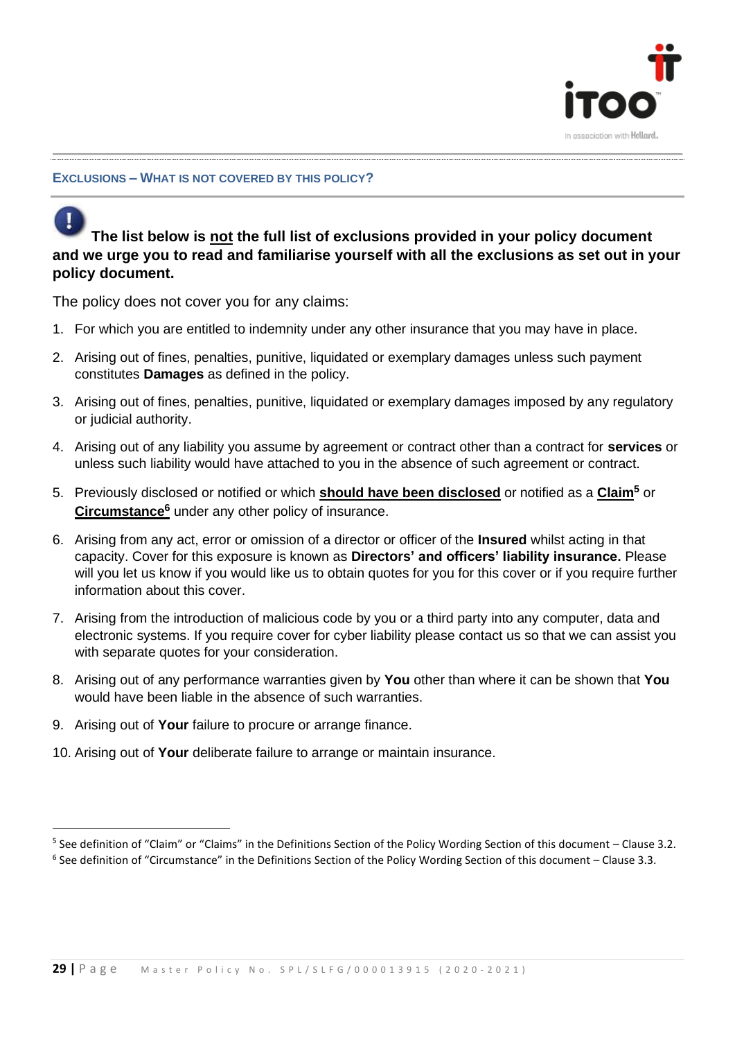

#### **EXCLUSIONS – WHAT IS NOT COVERED BY THIS POLICY?**

**The list below is not the full list of exclusions provided in your policy document and we urge you to read and familiarise yourself with all the exclusions as set out in your policy document.**

The policy does not cover you for any claims:

- 1. For which you are entitled to indemnity under any other insurance that you may have in place.
- 2. Arising out of fines, penalties, punitive, liquidated or exemplary damages unless such payment constitutes **Damages** as defined in the policy.
- 3. Arising out of fines, penalties, punitive, liquidated or exemplary damages imposed by any regulatory or judicial authority.
- 4. Arising out of any liability you assume by agreement or contract other than a contract for **services** or unless such liability would have attached to you in the absence of such agreement or contract.
- 5. Previously disclosed or notified or which **should have been disclosed** or notified as a **Claim<sup>5</sup>** or **Circumstance<sup>6</sup>** under any other policy of insurance.
- 6. Arising from any act, error or omission of a director or officer of the **Insured** whilst acting in that capacity. Cover for this exposure is known as **Directors' and officers' liability insurance.** Please will you let us know if you would like us to obtain quotes for you for this cover or if you require further information about this cover.
- 7. Arising from the introduction of malicious code by you or a third party into any computer, data and electronic systems. If you require cover for cyber liability please contact us so that we can assist you with separate quotes for your consideration.
- 8. Arising out of any performance warranties given by **You** other than where it can be shown that **You** would have been liable in the absence of such warranties.
- 9. Arising out of **Your** failure to procure or arrange finance.
- 10. Arising out of **Your** deliberate failure to arrange or maintain insurance.

<sup>&</sup>lt;sup>5</sup> See definition of "Claim" or "Claims" in the Definitions Section of the Policy Wording Section of this document – Clause 3.2. <sup>6</sup> See definition of "Circumstance" in the Definitions Section of the Policy Wording Section of this document – Clause 3.3.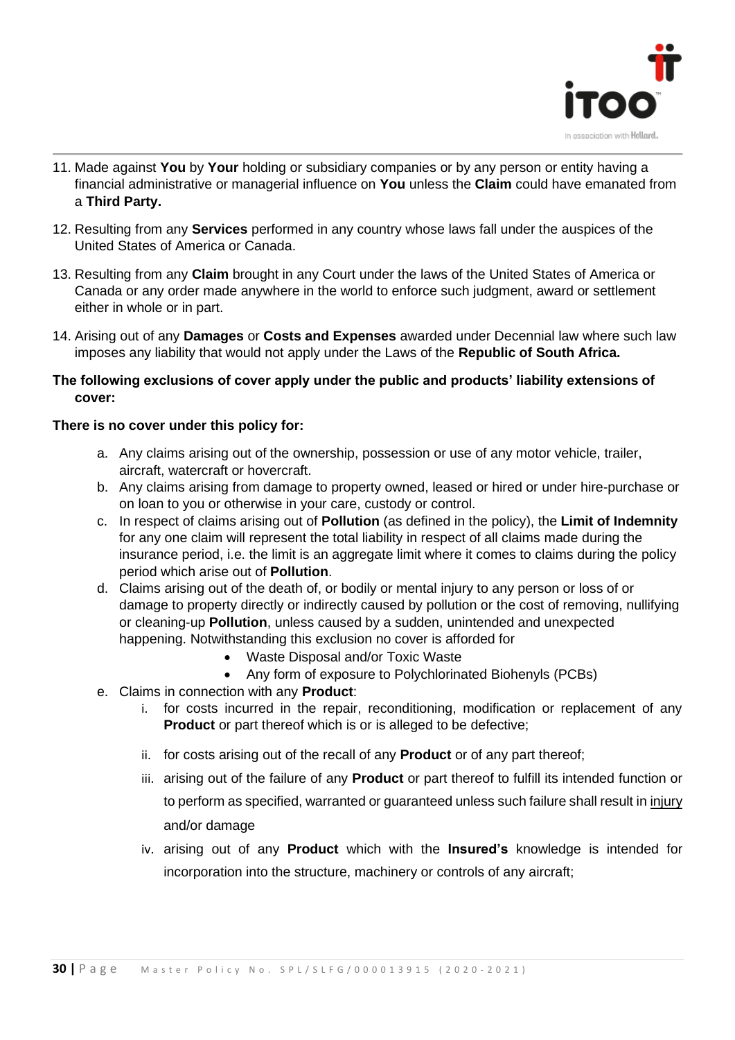

- 11. Made against **You** by **Your** holding or subsidiary companies or by any person or entity having a financial administrative or managerial influence on **You** unless the **Claim** could have emanated from a **Third Party.**
- 12. Resulting from any **Services** performed in any country whose laws fall under the auspices of the United States of America or Canada.
- 13. Resulting from any **Claim** brought in any Court under the laws of the United States of America or Canada or any order made anywhere in the world to enforce such judgment, award or settlement either in whole or in part.
- 14. Arising out of any **Damages** or **Costs and Expenses** awarded under Decennial law where such law imposes any liability that would not apply under the Laws of the **Republic of South Africa.**

#### **The following exclusions of cover apply under the public and products' liability extensions of cover:**

#### **There is no cover under this policy for:**

- a. Any claims arising out of the ownership, possession or use of any motor vehicle, trailer, aircraft, watercraft or hovercraft.
- b. Any claims arising from damage to property owned, leased or hired or under hire-purchase or on loan to you or otherwise in your care, custody or control.
- c. In respect of claims arising out of **Pollution** (as defined in the policy), the **Limit of Indemnity** for any one claim will represent the total liability in respect of all claims made during the insurance period, i.e. the limit is an aggregate limit where it comes to claims during the policy period which arise out of **Pollution**.
- d. Claims arising out of the death of, or bodily or mental injury to any person or loss of or damage to property directly or indirectly caused by pollution or the cost of removing, nullifying or cleaning-up **Pollution**, unless caused by a sudden, unintended and unexpected happening. Notwithstanding this exclusion no cover is afforded for
	- Waste Disposal and/or Toxic Waste
	- Any form of exposure to Polychlorinated Biohenyls (PCBs)
- e. Claims in connection with any **Product**:
	- i. for costs incurred in the repair, reconditioning, modification or replacement of any **Product** or part thereof which is or is alleged to be defective;
	- ii. for costs arising out of the recall of any **Product** or of any part thereof;
	- iii. arising out of the failure of any **Product** or part thereof to fulfill its intended function or to perform as specified, warranted or guaranteed unless such failure shall result in *injury* and/or damage
	- iv. arising out of any **Product** which with the **Insured's** knowledge is intended for incorporation into the structure, machinery or controls of any aircraft;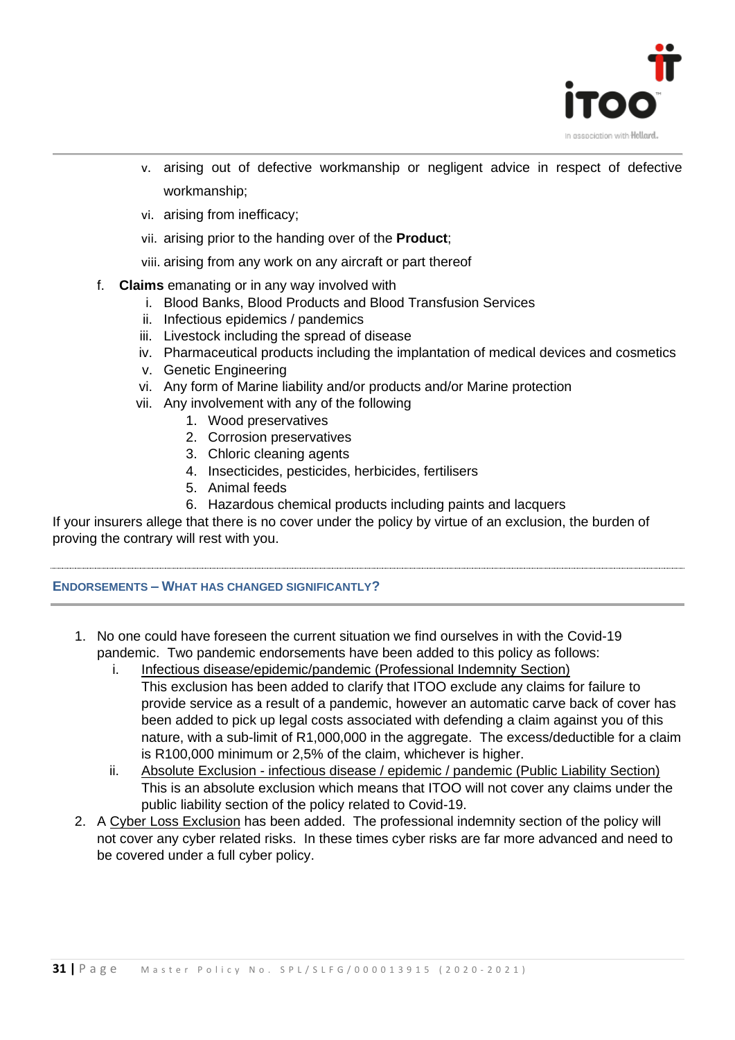

- v. arising out of defective workmanship or negligent advice in respect of defective workmanship;
- vi. arising from inefficacy;
- vii. arising prior to the handing over of the **Product**;
- viii. arising from any work on any aircraft or part thereof
- f. **Claims** emanating or in any way involved with
	- i. Blood Banks, Blood Products and Blood Transfusion Services
	- ii. Infectious epidemics / pandemics
	- iii. Livestock including the spread of disease
	- iv. Pharmaceutical products including the implantation of medical devices and cosmetics
	- v. Genetic Engineering
	- vi. Any form of Marine liability and/or products and/or Marine protection
	- vii. Any involvement with any of the following
		- 1. Wood preservatives
		- 2. Corrosion preservatives
		- 3. Chloric cleaning agents
		- 4. Insecticides, pesticides, herbicides, fertilisers
		- 5. Animal feeds
		- 6. Hazardous chemical products including paints and lacquers

If your insurers allege that there is no cover under the policy by virtue of an exclusion, the burden of proving the contrary will rest with you.

#### **ENDORSEMENTS – WHAT HAS CHANGED SIGNIFICANTLY?**

- 1. No one could have foreseen the current situation we find ourselves in with the Covid-19 pandemic. Two pandemic endorsements have been added to this policy as follows:
	- i. Infectious disease/epidemic/pandemic (Professional Indemnity Section) This exclusion has been added to clarify that ITOO exclude any claims for failure to provide service as a result of a pandemic, however an automatic carve back of cover has been added to pick up legal costs associated with defending a claim against you of this nature, with a sub-limit of R1,000,000 in the aggregate. The excess/deductible for a claim is R100,000 minimum or 2,5% of the claim, whichever is higher.
	- ii. Absolute Exclusion infectious disease / epidemic / pandemic (Public Liability Section) This is an absolute exclusion which means that ITOO will not cover any claims under the public liability section of the policy related to Covid-19.
- 2. A Cyber Loss Exclusion has been added. The professional indemnity section of the policy will not cover any cyber related risks. In these times cyber risks are far more advanced and need to be covered under a full cyber policy.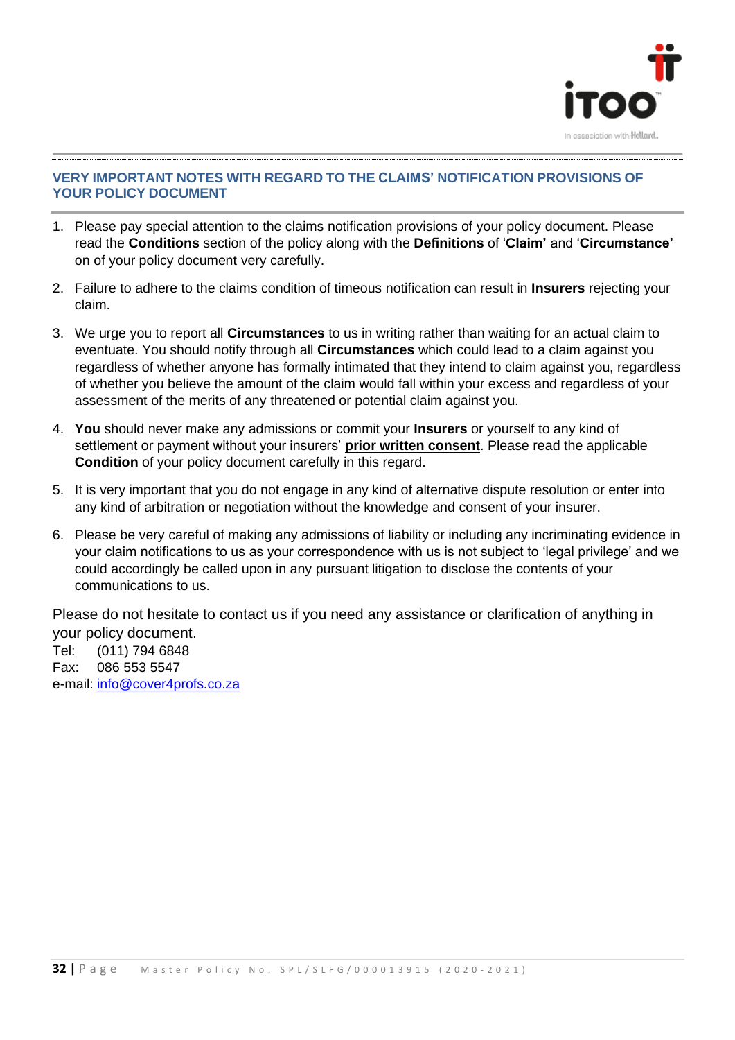

#### **VERY IMPORTANT NOTES WITH REGARD TO THE CLAIMS' NOTIFICATION PROVISIONS OF YOUR POLICY DOCUMENT**

- 1. Please pay special attention to the claims notification provisions of your policy document. Please read the **Conditions** section of the policy along with the **Definitions** of '**Claim'** and '**Circumstance'** on of your policy document very carefully.
- 2. Failure to adhere to the claims condition of timeous notification can result in **Insurers** rejecting your claim.
- 3. We urge you to report all **Circumstances** to us in writing rather than waiting for an actual claim to eventuate. You should notify through all **Circumstances** which could lead to a claim against you regardless of whether anyone has formally intimated that they intend to claim against you, regardless of whether you believe the amount of the claim would fall within your excess and regardless of your assessment of the merits of any threatened or potential claim against you.
- 4. **You** should never make any admissions or commit your **Insurers** or yourself to any kind of settlement or payment without your insurers' **prior written consent**. Please read the applicable **Condition** of your policy document carefully in this regard.
- 5. It is very important that you do not engage in any kind of alternative dispute resolution or enter into any kind of arbitration or negotiation without the knowledge and consent of your insurer.
- 6. Please be very careful of making any admissions of liability or including any incriminating evidence in your claim notifications to us as your correspondence with us is not subject to 'legal privilege' and we could accordingly be called upon in any pursuant litigation to disclose the contents of your communications to us.

Please do not hesitate to contact us if you need any assistance or clarification of anything in your policy document.

Tel: (011) 794 6848 Fax: 086 553 5547 e-mail: [info@cover4profs.co.za](mailto:info@cover4profs.co.za)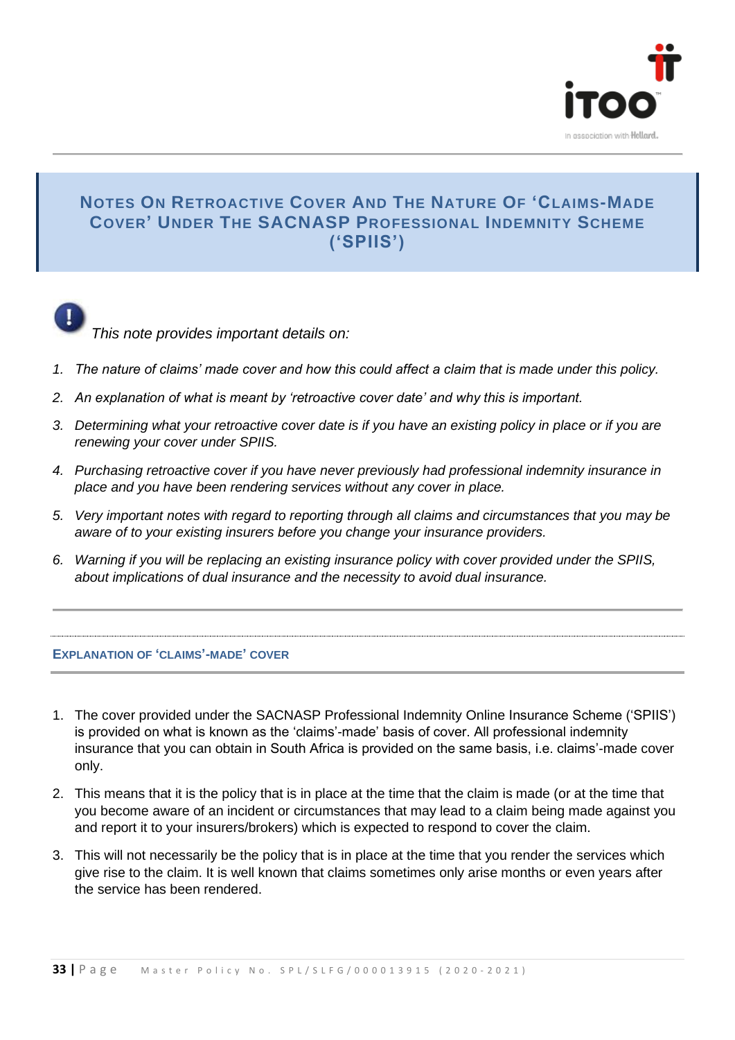

#### **NOTES ON RETROACTIVE COVER AND THE NATURE OF 'CLAIMS-MADE COVER' UNDER THE SACNASP PROFESSIONAL INDEMNITY SCHEME ('SPIIS')**



*This note provides important details on:*

- *1. The nature of claims' made cover and how this could affect a claim that is made under this policy.*
- *2. An explanation of what is meant by 'retroactive cover date' and why this is important.*
- *3. Determining what your retroactive cover date is if you have an existing policy in place or if you are renewing your cover under SPIIS.*
- *4. Purchasing retroactive cover if you have never previously had professional indemnity insurance in place and you have been rendering services without any cover in place.*
- *5. Very important notes with regard to reporting through all claims and circumstances that you may be aware of to your existing insurers before you change your insurance providers.*
- *6. Warning if you will be replacing an existing insurance policy with cover provided under the SPIIS, about implications of dual insurance and the necessity to avoid dual insurance.*

#### **EXPLANATION OF 'CLAIMS'-MADE' COVER**

- 1. The cover provided under the SACNASP Professional Indemnity Online Insurance Scheme ('SPIIS') is provided on what is known as the 'claims'-made' basis of cover. All professional indemnity insurance that you can obtain in South Africa is provided on the same basis, i.e. claims'-made cover only.
- 2. This means that it is the policy that is in place at the time that the claim is made (or at the time that you become aware of an incident or circumstances that may lead to a claim being made against you and report it to your insurers/brokers) which is expected to respond to cover the claim.
- 3. This will not necessarily be the policy that is in place at the time that you render the services which give rise to the claim. It is well known that claims sometimes only arise months or even years after the service has been rendered.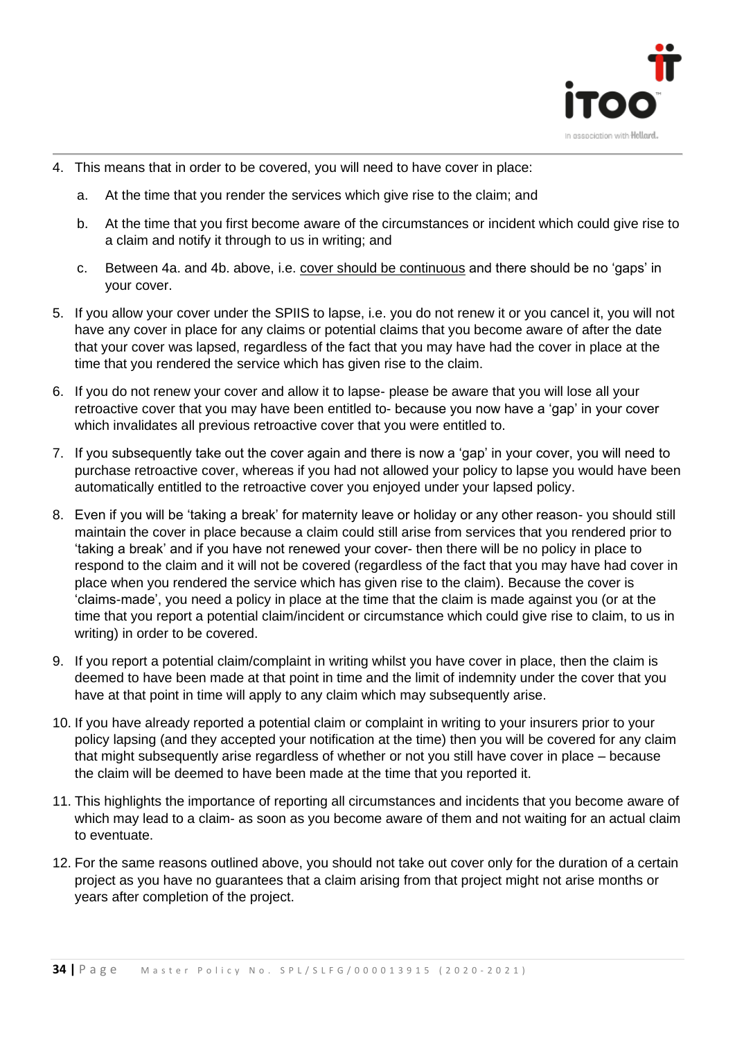

- 4. This means that in order to be covered, you will need to have cover in place:
	- a. At the time that you render the services which give rise to the claim; and
	- b. At the time that you first become aware of the circumstances or incident which could give rise to a claim and notify it through to us in writing; and
	- c. Between 4a. and 4b. above, i.e. cover should be continuous and there should be no 'gaps' in your cover.
- 5. If you allow your cover under the SPIIS to lapse, i.e. you do not renew it or you cancel it, you will not have any cover in place for any claims or potential claims that you become aware of after the date that your cover was lapsed, regardless of the fact that you may have had the cover in place at the time that you rendered the service which has given rise to the claim.
- 6. If you do not renew your cover and allow it to lapse- please be aware that you will lose all your retroactive cover that you may have been entitled to- because you now have a 'gap' in your cover which invalidates all previous retroactive cover that you were entitled to.
- 7. If you subsequently take out the cover again and there is now a 'gap' in your cover, you will need to purchase retroactive cover, whereas if you had not allowed your policy to lapse you would have been automatically entitled to the retroactive cover you enjoyed under your lapsed policy.
- 8. Even if you will be 'taking a break' for maternity leave or holiday or any other reason- you should still maintain the cover in place because a claim could still arise from services that you rendered prior to 'taking a break' and if you have not renewed your cover- then there will be no policy in place to respond to the claim and it will not be covered (regardless of the fact that you may have had cover in place when you rendered the service which has given rise to the claim). Because the cover is 'claims-made', you need a policy in place at the time that the claim is made against you (or at the time that you report a potential claim/incident or circumstance which could give rise to claim, to us in writing) in order to be covered.
- 9. If you report a potential claim/complaint in writing whilst you have cover in place, then the claim is deemed to have been made at that point in time and the limit of indemnity under the cover that you have at that point in time will apply to any claim which may subsequently arise.
- 10. If you have already reported a potential claim or complaint in writing to your insurers prior to your policy lapsing (and they accepted your notification at the time) then you will be covered for any claim that might subsequently arise regardless of whether or not you still have cover in place – because the claim will be deemed to have been made at the time that you reported it.
- 11. This highlights the importance of reporting all circumstances and incidents that you become aware of which may lead to a claim- as soon as you become aware of them and not waiting for an actual claim to eventuate.
- 12. For the same reasons outlined above, you should not take out cover only for the duration of a certain project as you have no guarantees that a claim arising from that project might not arise months or years after completion of the project.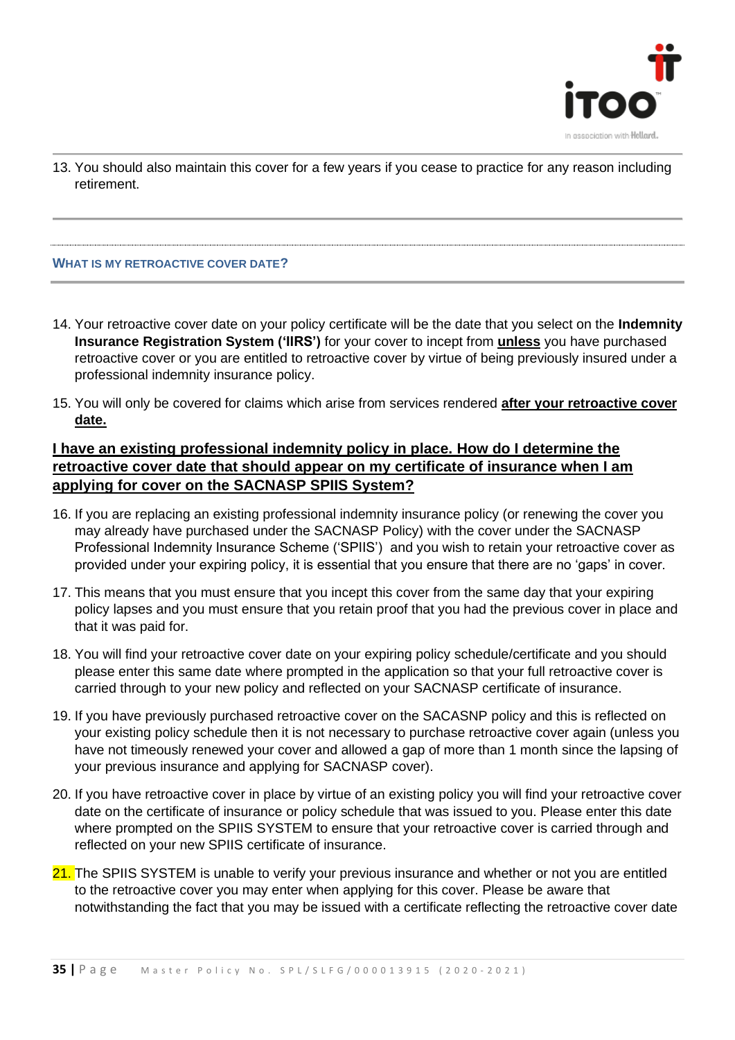

13. You should also maintain this cover for a few years if you cease to practice for any reason including retirement.

#### **WHAT IS MY RETROACTIVE COVER DATE?**

- 14. Your retroactive cover date on your policy certificate will be the date that you select on the **Indemnity Insurance Registration System ('IIRS')** for your cover to incept from **unless** you have purchased retroactive cover or you are entitled to retroactive cover by virtue of being previously insured under a professional indemnity insurance policy.
- 15. You will only be covered for claims which arise from services rendered **after your retroactive cover date.**

#### **I have an existing professional indemnity policy in place. How do I determine the retroactive cover date that should appear on my certificate of insurance when I am applying for cover on the SACNASP SPIIS System?**

- 16. If you are replacing an existing professional indemnity insurance policy (or renewing the cover you may already have purchased under the SACNASP Policy) with the cover under the SACNASP Professional Indemnity Insurance Scheme ('SPIIS') and you wish to retain your retroactive cover as provided under your expiring policy, it is essential that you ensure that there are no 'gaps' in cover.
- 17. This means that you must ensure that you incept this cover from the same day that your expiring policy lapses and you must ensure that you retain proof that you had the previous cover in place and that it was paid for.
- 18. You will find your retroactive cover date on your expiring policy schedule/certificate and you should please enter this same date where prompted in the application so that your full retroactive cover is carried through to your new policy and reflected on your SACNASP certificate of insurance.
- 19. If you have previously purchased retroactive cover on the SACASNP policy and this is reflected on your existing policy schedule then it is not necessary to purchase retroactive cover again (unless you have not timeously renewed your cover and allowed a gap of more than 1 month since the lapsing of your previous insurance and applying for SACNASP cover).
- 20. If you have retroactive cover in place by virtue of an existing policy you will find your retroactive cover date on the certificate of insurance or policy schedule that was issued to you. Please enter this date where prompted on the SPIIS SYSTEM to ensure that your retroactive cover is carried through and reflected on your new SPIIS certificate of insurance.
- 21. The SPIIS SYSTEM is unable to verify your previous insurance and whether or not you are entitled to the retroactive cover you may enter when applying for this cover. Please be aware that notwithstanding the fact that you may be issued with a certificate reflecting the retroactive cover date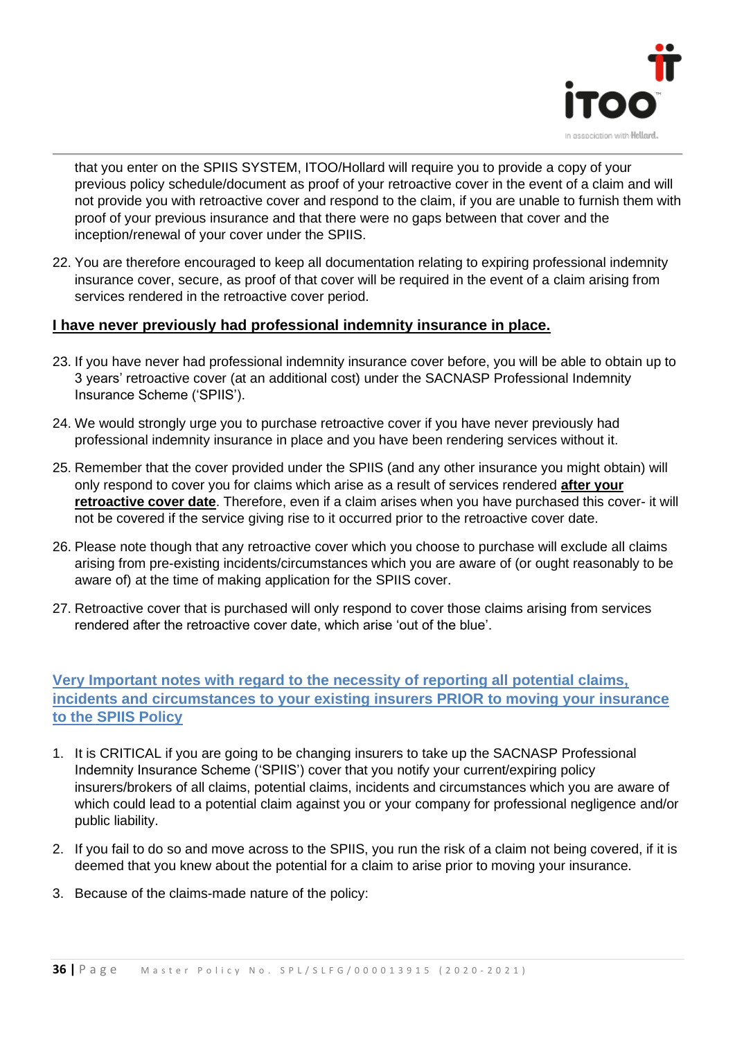

that you enter on the SPIIS SYSTEM, ITOO/Hollard will require you to provide a copy of your previous policy schedule/document as proof of your retroactive cover in the event of a claim and will not provide you with retroactive cover and respond to the claim, if you are unable to furnish them with proof of your previous insurance and that there were no gaps between that cover and the inception/renewal of your cover under the SPIIS.

22. You are therefore encouraged to keep all documentation relating to expiring professional indemnity insurance cover, secure, as proof of that cover will be required in the event of a claim arising from services rendered in the retroactive cover period.

#### **I have never previously had professional indemnity insurance in place.**

- 23. If you have never had professional indemnity insurance cover before, you will be able to obtain up to 3 years' retroactive cover (at an additional cost) under the SACNASP Professional Indemnity Insurance Scheme ('SPIIS').
- 24. We would strongly urge you to purchase retroactive cover if you have never previously had professional indemnity insurance in place and you have been rendering services without it.
- 25. Remember that the cover provided under the SPIIS (and any other insurance you might obtain) will only respond to cover you for claims which arise as a result of services rendered **after your retroactive cover date**. Therefore, even if a claim arises when you have purchased this cover- it will not be covered if the service giving rise to it occurred prior to the retroactive cover date.
- 26. Please note though that any retroactive cover which you choose to purchase will exclude all claims arising from pre-existing incidents/circumstances which you are aware of (or ought reasonably to be aware of) at the time of making application for the SPIIS cover.
- 27. Retroactive cover that is purchased will only respond to cover those claims arising from services rendered after the retroactive cover date, which arise 'out of the blue'.

#### **Very Important notes with regard to the necessity of reporting all potential claims, incidents and circumstances to your existing insurers PRIOR to moving your insurance to the SPIIS Policy**

- 1. It is CRITICAL if you are going to be changing insurers to take up the SACNASP Professional Indemnity Insurance Scheme ('SPIIS') cover that you notify your current/expiring policy insurers/brokers of all claims, potential claims, incidents and circumstances which you are aware of which could lead to a potential claim against you or your company for professional negligence and/or public liability.
- 2. If you fail to do so and move across to the SPIIS, you run the risk of a claim not being covered, if it is deemed that you knew about the potential for a claim to arise prior to moving your insurance.
- 3. Because of the claims-made nature of the policy: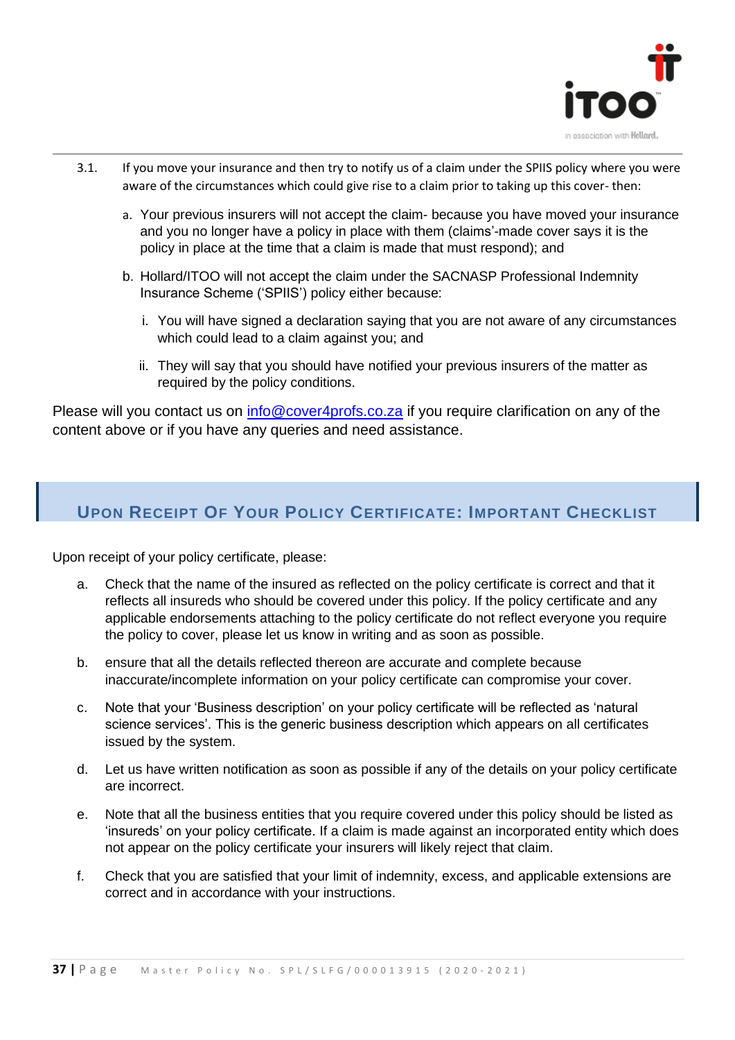

- 3.1. If you move your insurance and then try to notify us of a claim under the SPIIS policy where you were aware of the circumstances which could give rise to a claim prior to taking up this cover- then:
	- a. Your previous insurers will not accept the claim- because you have moved your insurance and you no longer have a policy in place with them (claims'-made cover says it is the policy in place at the time that a claim is made that must respond); and
	- b. Hollard/ITOO will not accept the claim under the SACNASP Professional Indemnity Insurance Scheme ('SPIIS') policy either because:
		- i. You will have signed a declaration saying that you are not aware of any circumstances which could lead to a claim against you; and
		- ii. They will say that you should have notified your previous insurers of the matter as required by the policy conditions.

Please will you contact us on [info@cover4profs.co.za](mailto:info@cover4profs.co.za) if you require clarification on any of the content above or if you have any queries and need assistance.

#### **UPON RECEIPT OF YOUR POLICY CERTIFICATE: IMPORTANT CHECKLIST**

Upon receipt of your policy certificate, please:

- a. Check that the name of the insured as reflected on the policy certificate is correct and that it reflects all insureds who should be covered under this policy. If the policy certificate and any applicable endorsements attaching to the policy certificate do not reflect everyone you require the policy to cover, please let us know in writing and as soon as possible.
- b. ensure that all the details reflected thereon are accurate and complete because inaccurate/incomplete information on your policy certificate can compromise your cover.
- c. Note that your 'Business description' on your policy certificate will be reflected as 'natural science services'. This is the generic business description which appears on all certificates issued by the system.
- d. Let us have written notification as soon as possible if any of the details on your policy certificate are incorrect.
- e. Note that all the business entities that you require covered under this policy should be listed as 'insureds' on your policy certificate. If a claim is made against an incorporated entity which does not appear on the policy certificate your insurers will likely reject that claim.
- f. Check that you are satisfied that your limit of indemnity, excess, and applicable extensions are correct and in accordance with your instructions.